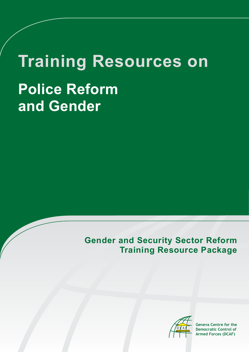# **Training Resources on Police Reform and Gender**

## **Gender and Security Sector Reform Training Resource Package**



**Geneva Centre for the Democratic Control of Armed Forces (DCAF)**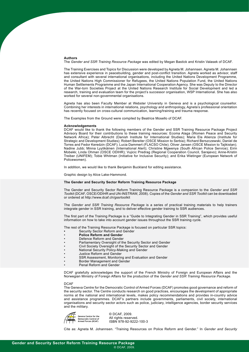#### **Authors**

The *Gender and SSR Training Resource Package* was edited by Megan Bastick and Kristin Valasek of DCAF.

The Training Exercises and Topics for Discussion were developed by Agneta M. Johannsen. Agneta M. Johannsen has extensive experience in peacebuilding, gender and post-conflict transition. Agneta worked as advisor, staff and consultant with several international organisations, including the United Nations Development Programme, the United Nations High Commissioner for Refugees, the United Nations Population Fund, the United Nations Human Settlements Programme and the Japan International Cooperation Agency. She was Deputy to the Director of the War-torn Societies Project at the United Nations Research Institute for Social Development and led a research, training and evaluation team for the project's successor organisation, WSP International. She has also worked for several non-governmental organisations.

Agneta has also been Faculty Member at Webster University in Geneva and is a psychological counsellor. Combining her interests in international relations, psychology and anthropology, Agneta's professional orientation has recently focused on cross-cultural communication, learning/training and trauma response.

The Examples from the Ground were compiled by Beatrice Mosello of DCAF.

#### **Acknowledgements**

DCAF would like to thank the following members of the Gender and SSR Training Resource Package Project Advisory Board for their contributions to these training resources: Ecoma Alaga (Women Peace and Security Network Africa); Peter Albrecht (Danish Institute for International Studies); Maria Ela Atienza (Institute for Strategic and Development Studies); Robert Bereiter (OSCE Mission to Serbia); Richard Berszczewski, Daniel de Torres and Fedor Keredzin (DCAF); Lucia Dammert (FLACSO Chile); Oliver Jansen (OSCE Mission to Tajikistan); Nadine Jubb; Minna Lyytikäinen (International Alert); Christine Mgwenya (South African Police Service); Eirin Mobekk; Linda Ohman (OSCE ODIHR); Vujicic Predrag (Regional Cooperation Council, Sarajevo); Anne-Kristin Treiber (UNIFEM); Tobie Whitman (Initiative for Inclusive Security); and Erika Wietinger (European Network of Policewomen).

In addition, we would like to thank Benjamin Buckland for editing assistance.

Graphic design by Alice Lake-Hammond.

#### **The Gender and Security Sector Reform Training Resource Package**

The Gender and Security Sector Reform Training Resource Package is a companion to the *Gender and SSR Toolkit* (DCAF, OSCE/ODIHR and UN-INSTRAW, 2008). Copies of the *Gender and SSR Toolkit* can be downloaded or ordered at<http://www.dcaf.ch/gssrtoolkit>

The *Gender and SSR Training Resource Package* is a series of practical training materials to help trainers integrate gender in SSR training, and to deliver effective gender training to SSR audiences.

The first part of the Training Package is a "Guide to Integrating Gender in SSR Training", which provides useful information on how to take into account gender issues throughout the SSR training cycle.

The rest of the Training Resource Package is focused on particular SSR topics:

- **[Security Sector Reform and Gender](http://www.gssrtraining.ch/index.php?option=com_content&view=article&id=19&Itemid=23&lang=en)**
- **[Police Reform and Gender](http://www.gssrtraining.ch/index.php?option=com_content&view=article&id=129&Itemid=24&lang=en)**
- [Defence Reform and Gender](http://www.gssrtraining.ch/index.php?option=com_content&view=article&id=34&Itemid=25&lang=en)
- [Parliamentary Oversight of the Security Sector and Gender](http://www.gssrtraining.ch/index.php?option=com_content&view=article&id=116&Itemid=29&lang=en)
- [Civil Society Oversight of the Security Sector and Gender](http://www.gssrtraining.ch/index.php?option=com_content&view=article&id=17&Itemid=31&lang=en)
- [National Security Policy-Making and Gender](http://www.gssrtraining.ch/index.php?option=com_content&view=article&id=102&Itemid=30&lang=en)
- [Justice Reform and Gender](http://www.gssrtraining.ch/index.php?option=com_content&view=article&id=75&Itemid=26&lang=en)
- SSR Assessment, Monitoring and Evaluation and Gender
- [Border Management and Gender](http://www.gssrtraining.ch/index.php?option=com_content&view=article&id=151&Itemid=28&lang=en)
- [Penal Reform and Gender](http://www.gssrtraining.ch/index.php?option=com_content&view=article&id=150&Itemid=27&lang=en)

DCAF gratefully acknowledges the support of the French Ministry of Foreign and European Affairs and the Norwegian Ministry of Foreign Affairs for the production of the *Gender and SSR Training Resource Package.*

#### DCAF

The Geneva Centre for the Democratic Control of Armed Forces (DCAF) promotes good governance and reform of the security sector. The Centre conducts research on good practices, encourages the development of appropriate norms at the national and international levels, makes policy recommendations and provides in-country advice and assistance programmes. DCAF's partners include governments, parliaments, civil society, international organisations and security sector actors such as police, judiciary, intelligence agencies, border security services and the military.



 © DCAF, 2009. All rights reserved. ISBN 978-92-9222-100-3

Cite as: Agneta M. Johannsen. "Training Resources on Police Reform and Gender." In *Gender and Security*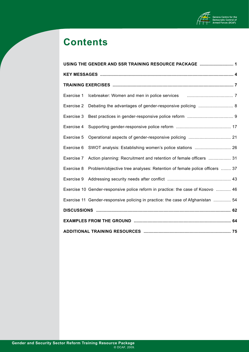

# **Contents**

| USING THE GENDER AND SSR TRAINING RESOURCE PACKAGE  1 |                                                                                 |  |  |  |
|-------------------------------------------------------|---------------------------------------------------------------------------------|--|--|--|
|                                                       |                                                                                 |  |  |  |
|                                                       |                                                                                 |  |  |  |
| Exercise 1                                            |                                                                                 |  |  |  |
| Exercise 2                                            | Debating the advantages of gender-responsive policing  8                        |  |  |  |
| Exercise 3                                            |                                                                                 |  |  |  |
| Exercise 4                                            |                                                                                 |  |  |  |
| Exercise 5                                            |                                                                                 |  |  |  |
| Exercise 6                                            | SWOT analysis: Establishing women's police stations  26                         |  |  |  |
| Exercise 7                                            | Action planning: Recruitment and retention of female officers  31               |  |  |  |
| Exercise 8                                            | Problem/objective tree analyses: Retention of female police officers  37        |  |  |  |
| Exercise 9                                            |                                                                                 |  |  |  |
|                                                       | Exercise 10 Gender-responsive police reform in practice: the case of Kosovo  46 |  |  |  |
|                                                       | Exercise 11 Gender-responsive policing in practice: the case of Afghanistan  54 |  |  |  |
|                                                       |                                                                                 |  |  |  |
|                                                       |                                                                                 |  |  |  |
|                                                       |                                                                                 |  |  |  |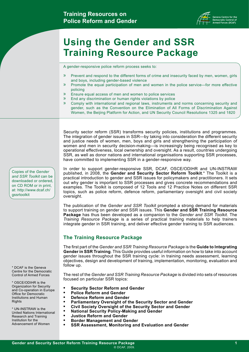

# <span id="page-3-0"></span>**Using the Gender and SSR Training Resource Package**

A gender-responsive police reform process seeks to:

- » Prevent and respond to the different forms of crime and insecurity faced by men, women, girls and boys, including gender-based violence
- » Promote the equal participation of men and women in the police service—for more effective policing
- » Ensure equal access of men and women to police services
- » End any discrimination or human rights violations by police
- » Comply with international and regional laws, instruments and norms concerning security and gender, such as the Convention on the Elimination of All Forms of Discrimination Against Women, the Beijing Platform for Action, and UN Security Council Resolutions 1325 and 1820

Security sector reform (SSR) transforms security policies, institutions and programmes. The integration of gender issues in SSR—by taking into consideration the different security and justice needs of women, men, boys and girls and strengthening the participation of women and men in security decision-making—is increasingly being recognised as key to operational effectiveness, local ownership and oversight. As a result, countries undergoing SSR, as well as donor nations and international organisations supporting SSR processes, have committed to implementing SSR in a gender-responsive way.

In order to support gender-responsive SSR, DCAF, OSCE/ODIHR and UN-INSTRAW published, in 2008, the **Gender and Security Sector Reform Toolkit**.\* The Toolkit is a practical introduction to gender and SSR issues for policymakers and practitioners. It sets out why gender is important to SSR processes and gives concrete recommendations and examples. The Toolkit is composed of 12 Tools and 12 Practice Notes on different SSR topics, such as police reform, defence reform, parliamentary oversight and civil society oversight.

The publication of the *Gender and SSR Toolkit* prompted a strong demand for materials to support training on gender and SSR issues. This **Gender and SSR Training Resource Package** has thus been developed as a companion to the *Gender and SSR Toolkit*. The *Training Resource Package* is a series of practical training materials to help trainers integrate gender in SSR training, and deliver effective gender training to SSR audiences.

#### **The Training Resource Package**

The first part of the *Gender and SSR Training Resource Package* is the **Guide to Integrating Gender in SSR Training**. This Guide provides useful information on how to take into account gender issues throughout the SSR training cycle: in training needs assessment, learning objectives, design and development of training, implementation, monitoring, evaluation and follow up.

The rest of the *Gender and SSR Training Resource Package* is divided into sets of resources focused on particular SSR topics:

- **Security Sector Reform and Gender**
- **• Police Reform and Gender**
- **Defence Reform and Gender**
- **Parliamentary Oversight of the Security Sector and Gender**
- **Civil Society Oversight of the Security Sector and Gender**
- **National Security Policy-Making and Gender** 
	- **Justice Reform and Gender**
	- **Border Management and Gender**
- **SSR Assessment, Monitoring and Evaluation and Gender**

Copies of the *Gender and SSR Toolkit* can be downloaded or ordered, on CD ROM or in print, at: [http://www.dcaf.ch/](http://www.dcaf.ch/gssrtoolkit) [gssrtoolkit](http://www.dcaf.ch/gssrtoolkit)

\* DCAF is the Geneva Centre for the Democratic Control of Armed Forces

\* OSCE/ODIHR is the Organization for Security and Co-operation in Europe Office for Democratic Institutions and Human Rights

\* UN-INSTRAW is the United Nations International Research and Training Institution for the Advancement of Women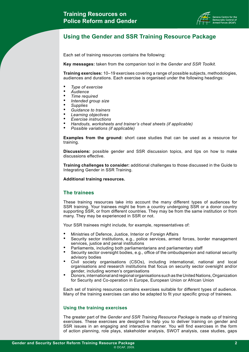

## **Using the Gender and SSR Training Resource Package**

Each set of training resources contains the following:

**Key messages:** taken from the companion tool in the *Gender and SSR Toolkit.*

**Training exercises:** 10–19 exercises covering a range of possible subjects, methodologies, audiences and durations. Each exercise is organised under the following headings:

- *Type of exercise*
- *• Audience*
- *Time required*
- *Intended group size*
- *• Supplies*
- *• Guidance to trainers*
- *Learning objectives*
- *Exercise instructions*
- *• Handouts, worksheets and trainer's cheat sheets (if applicable)*
- *• Possible variations (if applicable)*

**Examples from the ground:** short case studies that can be used as a resource for training.

**Discussions:** possible gender and SSR discussion topics, and tips on how to make discussions effective.

**Training challenges to consider:** additional challenges to those discussed in the Guide to Integrating Gender in SSR Training.

**Additional training resources.**

#### **The trainees**

These training resources take into account the many different types of audiences for SSR training. Your trainees might be from a country undergoing SSR or a donor country supporting SSR, or from different countries. They may be from the same institution or from many. They may be experienced in SSR or not.

Your SSR trainees might include, for example, representatives of:

- Ministries of Defence, Justice, Interior or Foreign Affairs
- Security sector institutions, e.g., police services, armed forces, border management services, justice and penal institutions
- Parliaments, including both parliamentarians and parliamentary staff
- Security sector oversight bodies, e.g., office of the ombudsperson and national security advisory bodies
- Civil society organisations (CSOs), including international, national and local organisations and research institutions that focus on security sector oversight and/or gender, including women's organisations
- Donors, international and regional organisations such as the United Nations, Organization for Security and Co-operation in Europe, European Union or African Union

Each set of training resources contains exercises suitable for different types of audience. Many of the training exercises can also be adapted to fit your specific group of trainees.

#### **Using the training exercises**

The greater part of the *Gender and SSR Training Resource Package* is made up of training exercises. These exercises are designed to help you to deliver training on gender and SSR issues in an engaging and interactive manner. You will find exercises in the form of action planning, role plays, stakeholder analysis, SWOT analysis, case studies, gaps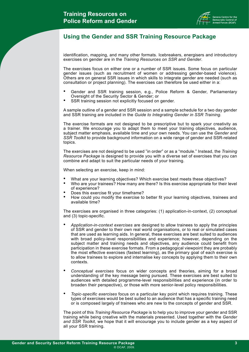

### **Using the Gender and SSR Training Resource Package**

identification, mapping, and many other formats. Icebreakers, energisers and introductory exercises on gender are in the *Training Resources on SSR and Gender*.

The exercises focus on either one or a number of SSR issues. Some focus on particular gender issues (such as recruitment of women or addressing gender-based violence). Others are on general SSR issues in which skills to integrate gender are needed (such as consultation or project planning). The exercises can therefore be used either in a:

- Gender and SSR training session, e.g., Police Reform & Gender, Parliamentary Oversight of the Security Sector & Gender; or
- SSR training session not explicitly focused on gender.

A sample outline of a gender and SSR session and a sample schedule for a two day gender and SSR training are included in the *Guide to Integrating Gender in SSR Training.*

The exercise formats are not designed to be prescriptive but to spark your creativity as a trainer. We encourage you to adapt them to meet your training objectives, audience, subject matter emphasis, available time and your own needs. You can use the *Gender and SSR Toolkit* to provide background information on a wide range of gender and SSR-related topics.

The exercises are not designed to be used "in order" or as a "module." Instead, the *Training Resource Package* is designed to provide you with a diverse set of exercises that you can combine and adapt to suit the particular needs of your training.

When selecting an exercise, keep in mind:

- What are your learning objectives? Which exercise best meets these objectives?
- Who are your trainees? How many are there? Is this exercise appropriate for their level of experience?
- Does this exercise fit your timeframe?
- How could you modify the exercise to better fit your learning objectives, trainees and available time?

The exercises are organised in three categories: (1) application-in-context, (2) conceptual and (3) topic-specific.

- *• Application-in-context exercises* are designed to allow trainees to apply the principles of SSR and gender to their own real world organisations, or to real or simulated cases that are used as learning aids. In general, these exercises are best suited to audiences with broad policy-level responsibilities and experience; however, depending on the subject matter and training needs and objectives, any audience could benefit from participation in these exercise formats. From a pedagogical viewpoint they are probably the most effective exercises (fastest learning), as the primary goal of each exercise is to allow trainees to explore and internalise key concepts by applying them to their own contexts.
- *Conceptual exercises* focus on wider concepts and theories, aiming for a broad understanding of the key message being pursued. These exercises are best suited to audiences with detailed programme-level responsibilities and experience (in order to broaden their perspective), or those with more senior-level policy responsibilities.
- *Topic-specific exercises* focus on a particular key point which requires training. These types of exercises would be best suited to an audience that has a specific training need or is composed largely of trainees who are new to the concepts of gender and SSR.

The point of this *Training Resource Package* is to help you to improve your gender and SSR training while being creative with the materials presented. Used together with the *Gender and SSR Toolkit*, we hope that it will encourage you to include gender as a key aspect of all your SSR training.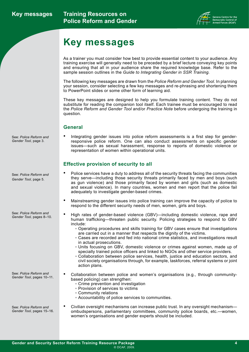

# <span id="page-6-0"></span>**Key messages**

As a trainer you must consider how best to provide essential content to your audience. Any training exercise will generally need to be preceded by a brief lecture conveying key points and ensuring that all in your audience share the required knowledge base. Refer to the sample session outlines in the *Guide to Integrating Gender in SSR Training.*

The following key messages are drawn from the *Police Reform and Gender Tool*. In planning your session, consider selecting a few key messages and re-phrasing and shortening them to PowerPoint slides or some other form of learning aid.

These key messages are designed to help you formulate training content. They do not substitute for reading the companion tool itself. Each trainee must be encouraged to read the *Police Reform and Gender Tool* and/or *Practice Note* before undergoing the training in question.

#### **General**

• Integrating gender issues into police reform assessments is a first step for genderresponsive police reform. One can also conduct assessments on specific gender issues—such as sexual harassment, response to reports of domestic violence or representation of women within operational units.

#### **Effective provision of security to all**

- Police services have a duty to address all of the security threats facing the communities they serve—including those security threats primarily faced by men and boys (such as gun violence) and those primarily faced by women and girls (such as domestic and sexual violence). In many countries, women and men report that the police fail adequately to investigate gender-based crimes.
- Mainstreaming gender issues into police training can improve the capacity of police to respond to the different security needs of men, women, girls and boys.
- High rates of gender-based violence (GBV)—including domestic violence, rape and human trafficking—threaten public security. Policing strategies to respond to GBV include:
	- Operating procedures and skills training for GBV cases ensure that investigations are carried out in a manner that respects the dignity of the victims.
	- Cases are recorded and fed into national crime statistics, and investigations result in actual prosecutions.
	- Units focusing on GBV, domestic violence or crimes against women, made up of specially trained police officers and linked to NGOs and other service providers.
	- Collaboration between police services, health, justice and education sectors, and civil society organisations through, for example, taskforces, referral systems or joint action plans.
	- Collaboration between police and women's organisations (e.g., through communitybased policing) can strengthen:
		- Crime prevention and investigation
		- Provision of services to victims
		- Community relations
		- Accountability of police services to communities.

© DCAF, 2009.

See: *Police Reform and Gender Tool,* pages 15–16.

See: *Police Reform and Gender Tool*, pages 10–11.

> • Civilian oversight mechanisms can increase public trust. In any oversight mechanism ombudspersons, parliamentary committees, community police boards, etc.—women, women's organisations and gender experts should be included.

See: *Police Reform and Gender Tool,* page 3.

See: *Police Reform and Gender Tool,* page 5.

See: *Police Reform and Gender Tool,* pages 8–10.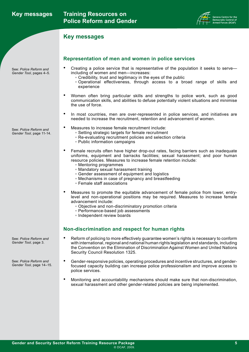|  | <b>Key messages</b> |
|--|---------------------|
|--|---------------------|



### **Key messages**

See: *Police Reform and Gender Tool*, pages 4–5.

See: *Police Reform and Gender Tool,* page 11-14.

See: *Police Reform and* 

*Gender Tool,* page 3.

See: *Police Reform and Gender Tool,* page 14–15.

#### **Representation of men and women in police services**

- Creating a police service that is representative of the population it seeks to serve including of women and men—increases:
	- Credibility, trust and legitimacy in the eyes of the public
	- Operational effectiveness, through access to a broad range of skills and experience
- Women often bring particular skills and strengths to police work, such as good communication skills, and abilities to defuse potentially violent situations and minimise the use of force.
- In most countries, men are over-represented in police services, and initiatives are needed to increase the recruitment, retention and advancement of women.
- Measures to increase female recruitment include:
	- Setting strategic targets for female recruitment
	- Re-evaluating recruitment policies and selection criteria
	- Public information campaigns
- Female recruits often have higher drop-out rates, facing barriers such as inadequate uniforms, equipment and barracks facilities; sexual harassment; and poor human resource policies. Measures to increase female retention include:
	- Mentoring programmes
	- Mandatory sexual harassment training
	- Gender assessment of equipment and logistics
	- Mechanisms in case of pregnancy and breastfeeding
	- Female staff associations
- Measures to promote the equitable advancement of female police from lower, entrylevel and non-operational positions may be required. Measures to increase female advancement include:
	- Objective and non-discriminatory promotion criteria
	- Performance-based job assessments
	- Independent review boards

### **Non-discrimination and respect for human rights**

- Reform of policing to more effectively guarantee women's rights is necessary to conform with international, regional and national human rights legislation and standards, including the Convention on the Elimination of Discrimination Against Women and United Nations Security Council Resolution 1325.
- Gender-responsive policies, operating procedures and incentive structures, and genderfocused capacity building can increase police professionalism and improve access to police services.
- Monitoring and accountability mechanisms should make sure that non-discrimination, sexual harassment and other gender-related policies are being implemented.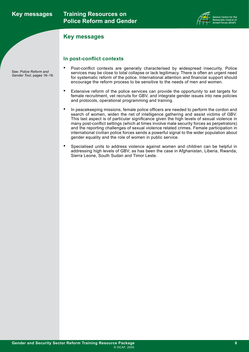### **Key messages**



#### **Key messages**

**In post-conflict contexts**

- Post-conflict contexts are generally characterised by widespread insecurity. Police services may be close to total collapse or lack legitimacy. There is often an urgent need for systematic reform of the police. International attention and financial support should encourage the reform process to be sensitive to the needs of men and women.
- Extensive reform of the police services can provide the opportunity to set targets for female recruitment, vet recruits for GBV, and integrate gender issues into new policies and protocols, operational programming and training.
- In peacekeeping missions, female police officers are needed to perform the cordon and search of women, widen the net of intelligence gathering and assist victims of GBV. This last aspect is of particular significance given the high levels of sexual violence in many post-conflict settings (which at times involve male security forces as perpetrators) and the reporting challenges of sexual violence related crimes. Female participation in international civilian police forces sends a powerful signal to the wider population about gender equality and the role of women in public service.
- Specialised units to address violence against women and children can be helpful in addressing high levels of GBV, as has been the case in Afghanistan, Liberia, Rwanda, Sierra Leone, South Sudan and Timor Leste.

See: *Police Reform and Gender Tool*, pages 16–18.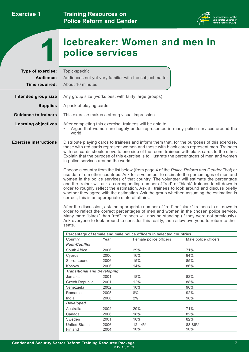

# **Icebreaker: Women and men in 1 police services**

<span id="page-9-0"></span>

| Type of exercise:<br>Audience: | Topic-specific                                                                                                                                                                                                                                                                                                                                                                                                                                                                                                                                                                                                                                                                                                                                                                                                                                                                                                                                                                                                                                                                                                                                                                                                                                                                                                                                                                                                                                                           |              | Audiences not yet very familiar with the subject matter             |                                                                                  |
|--------------------------------|--------------------------------------------------------------------------------------------------------------------------------------------------------------------------------------------------------------------------------------------------------------------------------------------------------------------------------------------------------------------------------------------------------------------------------------------------------------------------------------------------------------------------------------------------------------------------------------------------------------------------------------------------------------------------------------------------------------------------------------------------------------------------------------------------------------------------------------------------------------------------------------------------------------------------------------------------------------------------------------------------------------------------------------------------------------------------------------------------------------------------------------------------------------------------------------------------------------------------------------------------------------------------------------------------------------------------------------------------------------------------------------------------------------------------------------------------------------------------|--------------|---------------------------------------------------------------------|----------------------------------------------------------------------------------|
| Time required:                 | About 10 minutes                                                                                                                                                                                                                                                                                                                                                                                                                                                                                                                                                                                                                                                                                                                                                                                                                                                                                                                                                                                                                                                                                                                                                                                                                                                                                                                                                                                                                                                         |              |                                                                     |                                                                                  |
| Intended group size            | Any group size (works best with fairly large groups)                                                                                                                                                                                                                                                                                                                                                                                                                                                                                                                                                                                                                                                                                                                                                                                                                                                                                                                                                                                                                                                                                                                                                                                                                                                                                                                                                                                                                     |              |                                                                     |                                                                                  |
| <b>Supplies</b>                | A pack of playing cards                                                                                                                                                                                                                                                                                                                                                                                                                                                                                                                                                                                                                                                                                                                                                                                                                                                                                                                                                                                                                                                                                                                                                                                                                                                                                                                                                                                                                                                  |              |                                                                     |                                                                                  |
| <b>Guidance to trainers</b>    | This exercise makes a strong visual impression.                                                                                                                                                                                                                                                                                                                                                                                                                                                                                                                                                                                                                                                                                                                                                                                                                                                                                                                                                                                                                                                                                                                                                                                                                                                                                                                                                                                                                          |              |                                                                     |                                                                                  |
|                                |                                                                                                                                                                                                                                                                                                                                                                                                                                                                                                                                                                                                                                                                                                                                                                                                                                                                                                                                                                                                                                                                                                                                                                                                                                                                                                                                                                                                                                                                          |              |                                                                     |                                                                                  |
| <b>Learning objectives</b>     | world                                                                                                                                                                                                                                                                                                                                                                                                                                                                                                                                                                                                                                                                                                                                                                                                                                                                                                                                                                                                                                                                                                                                                                                                                                                                                                                                                                                                                                                                    |              | After completing this exercise, trainees will be able to:           | Argue that women are hugely under-represented in many police services around the |
| <b>Exercise instructions</b>   | Distribute playing cards to trainees and inform them that, for the purposes of this exercise,<br>those with red cards represent women and those with black cards represent men. Trainees<br>with red cards should move to one side of the room, trainees with black cards to the other.<br>Explain that the purpose of this exercise is to illustrate the percentages of men and women<br>in police services around the world.<br>Choose a country from the list below (from page 4 of the Police Reform and Gender Tool) or<br>use data from other countries. Ask for a volunteer to estimate the percentages of men and<br>women in the police services of that country. The volunteer will estimate the percentage<br>and the trainer will ask a corresponding number of "red" or "black" trainees to sit down in<br>order to roughly reflect the estimation. Ask all trainees to look around and discuss briefly<br>whether they agree with the estimation. Ask the group whether, assuming the estimation is<br>correct, this is an appropriate state of affairs.<br>After the discussion, ask the appropriate number of "red" or "black" trainees to sit down in<br>order to reflect the correct percentages of men and women in the chosen police service.<br>Many more "black" than "red" trainees will now be standing (if they were not previously).<br>Ask everyone to look around to consider this reality, then allow everyone to return to their<br>seats. |              |                                                                     |                                                                                  |
|                                |                                                                                                                                                                                                                                                                                                                                                                                                                                                                                                                                                                                                                                                                                                                                                                                                                                                                                                                                                                                                                                                                                                                                                                                                                                                                                                                                                                                                                                                                          |              |                                                                     |                                                                                  |
|                                |                                                                                                                                                                                                                                                                                                                                                                                                                                                                                                                                                                                                                                                                                                                                                                                                                                                                                                                                                                                                                                                                                                                                                                                                                                                                                                                                                                                                                                                                          |              | Percentage of female and male police officers in selected countries |                                                                                  |
|                                | Country                                                                                                                                                                                                                                                                                                                                                                                                                                                                                                                                                                                                                                                                                                                                                                                                                                                                                                                                                                                                                                                                                                                                                                                                                                                                                                                                                                                                                                                                  | Year         | Female police officers                                              | Male police officers                                                             |
|                                | <b>Post-Conflict</b>                                                                                                                                                                                                                                                                                                                                                                                                                                                                                                                                                                                                                                                                                                                                                                                                                                                                                                                                                                                                                                                                                                                                                                                                                                                                                                                                                                                                                                                     |              |                                                                     |                                                                                  |
|                                | South Africa                                                                                                                                                                                                                                                                                                                                                                                                                                                                                                                                                                                                                                                                                                                                                                                                                                                                                                                                                                                                                                                                                                                                                                                                                                                                                                                                                                                                                                                             | 2006         | 29%                                                                 | 71%                                                                              |
|                                | Cyprus                                                                                                                                                                                                                                                                                                                                                                                                                                                                                                                                                                                                                                                                                                                                                                                                                                                                                                                                                                                                                                                                                                                                                                                                                                                                                                                                                                                                                                                                   | 2006         | 16%                                                                 | 84%                                                                              |
|                                | Sierra Leone<br>Kosovo                                                                                                                                                                                                                                                                                                                                                                                                                                                                                                                                                                                                                                                                                                                                                                                                                                                                                                                                                                                                                                                                                                                                                                                                                                                                                                                                                                                                                                                   | 2006<br>2006 | 15%<br>14%                                                          | 85%                                                                              |
|                                | <b>Transitional and Developing</b>                                                                                                                                                                                                                                                                                                                                                                                                                                                                                                                                                                                                                                                                                                                                                                                                                                                                                                                                                                                                                                                                                                                                                                                                                                                                                                                                                                                                                                       |              |                                                                     | 86%                                                                              |
|                                | Jamaica                                                                                                                                                                                                                                                                                                                                                                                                                                                                                                                                                                                                                                                                                                                                                                                                                                                                                                                                                                                                                                                                                                                                                                                                                                                                                                                                                                                                                                                                  | 2001         | 18%                                                                 | 82%                                                                              |
|                                | Czech Republic                                                                                                                                                                                                                                                                                                                                                                                                                                                                                                                                                                                                                                                                                                                                                                                                                                                                                                                                                                                                                                                                                                                                                                                                                                                                                                                                                                                                                                                           | 2001         | 12%                                                                 | 88%                                                                              |
|                                | Venezuela                                                                                                                                                                                                                                                                                                                                                                                                                                                                                                                                                                                                                                                                                                                                                                                                                                                                                                                                                                                                                                                                                                                                                                                                                                                                                                                                                                                                                                                                | 2002         | 10%                                                                 | 90%                                                                              |
|                                | Romania                                                                                                                                                                                                                                                                                                                                                                                                                                                                                                                                                                                                                                                                                                                                                                                                                                                                                                                                                                                                                                                                                                                                                                                                                                                                                                                                                                                                                                                                  | 2005         | $8\%$                                                               | 92%                                                                              |
|                                | India                                                                                                                                                                                                                                                                                                                                                                                                                                                                                                                                                                                                                                                                                                                                                                                                                                                                                                                                                                                                                                                                                                                                                                                                                                                                                                                                                                                                                                                                    | 2006         | $2\%$                                                               | 98%                                                                              |
|                                | <b>Developed</b>                                                                                                                                                                                                                                                                                                                                                                                                                                                                                                                                                                                                                                                                                                                                                                                                                                                                                                                                                                                                                                                                                                                                                                                                                                                                                                                                                                                                                                                         |              |                                                                     |                                                                                  |
|                                | Australia                                                                                                                                                                                                                                                                                                                                                                                                                                                                                                                                                                                                                                                                                                                                                                                                                                                                                                                                                                                                                                                                                                                                                                                                                                                                                                                                                                                                                                                                | 2002         | 29%                                                                 | 71%                                                                              |
|                                | Canada                                                                                                                                                                                                                                                                                                                                                                                                                                                                                                                                                                                                                                                                                                                                                                                                                                                                                                                                                                                                                                                                                                                                                                                                                                                                                                                                                                                                                                                                   | 2006         | 18%                                                                 | 82%                                                                              |
|                                | Sweden                                                                                                                                                                                                                                                                                                                                                                                                                                                                                                                                                                                                                                                                                                                                                                                                                                                                                                                                                                                                                                                                                                                                                                                                                                                                                                                                                                                                                                                                   | 2001         | 18%                                                                 | 82%                                                                              |
|                                |                                                                                                                                                                                                                                                                                                                                                                                                                                                                                                                                                                                                                                                                                                                                                                                                                                                                                                                                                                                                                                                                                                                                                                                                                                                                                                                                                                                                                                                                          |              |                                                                     |                                                                                  |
|                                | <b>United States</b>                                                                                                                                                                                                                                                                                                                                                                                                                                                                                                                                                                                                                                                                                                                                                                                                                                                                                                                                                                                                                                                                                                                                                                                                                                                                                                                                                                                                                                                     | 2006         | 12-14%                                                              | 88-86%                                                                           |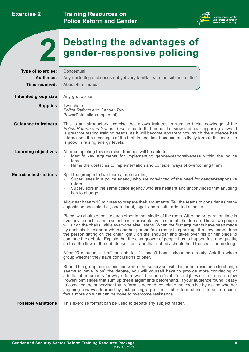**Training Resources on Police Reform and Gender** 



<span id="page-10-0"></span>

# **Debating the advantages of 2 gender-responsive policing**

| Type of exercise:            | Conceptual                                                                                                                                                                                                                                                                                                                                                                                                                                                                                                                                                                                                                                                                               |
|------------------------------|------------------------------------------------------------------------------------------------------------------------------------------------------------------------------------------------------------------------------------------------------------------------------------------------------------------------------------------------------------------------------------------------------------------------------------------------------------------------------------------------------------------------------------------------------------------------------------------------------------------------------------------------------------------------------------------|
| Audience:                    | Any (including audiences not yet very familiar with the subject matter)                                                                                                                                                                                                                                                                                                                                                                                                                                                                                                                                                                                                                  |
| Time required:               | About 40 minutes                                                                                                                                                                                                                                                                                                                                                                                                                                                                                                                                                                                                                                                                         |
|                              |                                                                                                                                                                                                                                                                                                                                                                                                                                                                                                                                                                                                                                                                                          |
| Intended group size          | Any group size                                                                                                                                                                                                                                                                                                                                                                                                                                                                                                                                                                                                                                                                           |
| <b>Supplies</b>              | Two chairs<br><b>Police Reform and Gender Tool</b><br>PowerPoint slides (optional)                                                                                                                                                                                                                                                                                                                                                                                                                                                                                                                                                                                                       |
| <b>Guidance to trainers</b>  | This is an introductory exercise that allows trainees to sum up their knowledge of the<br>Police Reform and Gender Tool, to put forth their point of view and hear opposing views. It<br>is great for testing training needs, as it will become apparent how much the audience has<br>internalised the messages of the tool. In addition, because of its lively format, this exercise<br>is good in raising energy levels.                                                                                                                                                                                                                                                               |
| <b>Learning objectives</b>   | After completing this exercise, trainees will be able to:<br>Identify key arguments for implementing gender-responsiveness within the police<br>force<br>Name the obstacles to implementation and consider ways of overcoming them<br>$\bullet$                                                                                                                                                                                                                                                                                                                                                                                                                                          |
| <b>Exercise instructions</b> | Split the group into two teams, representing:<br>Supervisees in a police agency who are convinced of the need for gender-responsive<br>reform<br>Supervisors in the same police agency who are hesitant and unconvinced that anything<br>$\bullet$<br>has to change                                                                                                                                                                                                                                                                                                                                                                                                                      |
|                              | Allow each team 10 minutes to prepare their arguments. Tell the teams to consider as many<br>aspects as possible, i.e., operational, legal, and results-oriented aspects.                                                                                                                                                                                                                                                                                                                                                                                                                                                                                                                |
|                              | Place two chairs opposite each other in the middle of the room. After the preparation time is<br>over, invite each team to select one representative to start off the debate. These two people<br>will sit on the chairs, while everyone else listens. When the first arguments have been made<br>by each chair holder or when another person feels ready to speak up, the new person taps<br>the person sitting on the chair lightly on the shoulder and takes over his or her place to<br>continue the debate. Explain that the changeover of people has to happen fast and quietly,<br>so that the flow of the debate isn't lost, and that nobody should hold the chair for too long. |
|                              | After 20 minutes, cut off the debate, if it hasn't been exhausted already. Ask the whole<br>group whether they have conclusions to offer.                                                                                                                                                                                                                                                                                                                                                                                                                                                                                                                                                |
|                              | Should the group be in a position where the supervisor with his or her resistance to change<br>seems to have "won" the debate, you will yourself have to provide more convincing or<br>additional arguments for why reform would be beneficial. You might wish to prepare a few<br>PowerPoint slides that sum up these arguments beforehand. If your audience found it easy<br>to convince the supervisor that reform is needed, conclude the exercise by asking whether<br>anything new was learned by juxtaposing a pro- and anti-reform stance. In such a case,<br>focus more on what can be done to overcome resistance.                                                             |
| <b>Possible variations</b>   | This exercise format can be used to debate any subject matter.                                                                                                                                                                                                                                                                                                                                                                                                                                                                                                                                                                                                                           |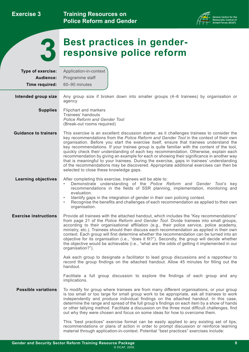**Training Resources on Police Reform and Gender** 



<span id="page-11-0"></span>

# **Best practices in gender-**<br>**7 responsive police reform**

| Type of exercise:            | Application-in-context                                                                                                                                                                                                                                                                                                                                                                                                                                                                                                                                                                                                                                                                                                                                                                                 |
|------------------------------|--------------------------------------------------------------------------------------------------------------------------------------------------------------------------------------------------------------------------------------------------------------------------------------------------------------------------------------------------------------------------------------------------------------------------------------------------------------------------------------------------------------------------------------------------------------------------------------------------------------------------------------------------------------------------------------------------------------------------------------------------------------------------------------------------------|
| Audience:                    | Programme staff                                                                                                                                                                                                                                                                                                                                                                                                                                                                                                                                                                                                                                                                                                                                                                                        |
| Time required:               | 60-90 minutes                                                                                                                                                                                                                                                                                                                                                                                                                                                                                                                                                                                                                                                                                                                                                                                          |
| Intended group size          | Any group size if broken down into smaller groups (4–6 trainees) by organisation or<br>agency                                                                                                                                                                                                                                                                                                                                                                                                                                                                                                                                                                                                                                                                                                          |
| <b>Supplies</b>              | Flipchart and markers<br>Trainees' handouts<br><b>Police Reform and Gender Tool</b><br>(Break-out rooms required)                                                                                                                                                                                                                                                                                                                                                                                                                                                                                                                                                                                                                                                                                      |
| <b>Guidance to trainers</b>  | This exercise is an excellent discussion starter, as it challenges trainees to consider the<br>key recommendations from the Police Reform and Gender Tool in the context of their own<br>organisation. Before you start the exercise itself, ensure that trainees understand the<br>key recommendations. If your trainee group is quite familiar with the content of the tool,<br>quickly check their understanding of each key recommendation. Otherwise, explain each<br>recommendation by giving an example for each or showing their significance in another way<br>that is meaningful to your trainees. During the exercise, gaps in trainees' understanding<br>of the recommendations may be discovered. Appropriate additional exercises can then be<br>selected to close these knowledge gaps. |
| <b>Learning objectives</b>   | After completing this exercise, trainees will be able to:<br>Demonstrate understanding of the Police Reform and Gender Tool's key<br>recommendations in the fields of SSR planning, implementation, monitoring and<br>evaluation.<br>Identify gaps in the integration of gender in their own policing context.<br>Recognise the benefits and challenges of each recommendation as applied to their own<br>$\bullet$<br>organisation.                                                                                                                                                                                                                                                                                                                                                                   |
| <b>Exercise instructions</b> | Provide all trainees with the attached handout, which includes the "Key recommendations"<br>from page 21 of the Police Reform and Gender Tool. Divide trainees into small groups,<br>according to their organisational affiliation (e.g., their police service, police academy,<br>ministry, etc.). Trainees should then discuss each recommendation as applied in their own<br>context. Each group will first determine whether the recommendation can be turned into an<br>objective for its organisation (i.e., "does it fit?"). Secondly, the group will decide whether<br>the objective would be achievable (i.e., "what are the odds of getting it implemented in our<br>organisation?").                                                                                                        |
|                              | Ask each group to designate a facilitator to lead group discussions and a rapporteur to<br>record the group findings on the attached handout. Allow 45 minutes for filling out the<br>handout.                                                                                                                                                                                                                                                                                                                                                                                                                                                                                                                                                                                                         |
|                              | Facilitate a full group discussion to explore the findings of each group and any<br>implications.                                                                                                                                                                                                                                                                                                                                                                                                                                                                                                                                                                                                                                                                                                      |
| <b>Possible variations</b>   | To modify for group where trainees are from many different organisations, or your group<br>is too small or too large for small group work to be appropriate, ask all trainees to work<br>independently and produce individual findings on the attached handout. In this case,<br>determine the range and spread of the full group's findings on each item by a show of hands<br>or other tallying method. Facilitate a discussion on the three most difficult challenges, find<br>out why they were chosen and focus on some ideas for how to overcome them.                                                                                                                                                                                                                                           |
|                              | This "best practices" exercise format can be easily applied to any existing set of tips,<br>recommendations or plans of action in order to prompt discussion or reinforce learning                                                                                                                                                                                                                                                                                                                                                                                                                                                                                                                                                                                                                     |

material through application-in-context. Potential "best practices" exercises include: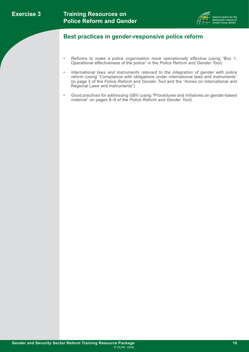

### **Best practices in gender-responsive police reform**

- *• Reforms to make a police organisation more operationally effective* (using "Box 1: Operational effectiveness of the police" in the *Police Reform and Gender Tool*)
- International laws and instruments relevant to the integration of gender with police reform (using "Compliance with obligations under international laws and instruments" on page 3 of the *Police Reform and Gender Tool* and the "Annex on International and Regional Laws and Instruments")
- Good practices for addressing GBV (using "Procedures and initiatives on gender-based violence" on pages 8–9 of the *Police Reform and Gender Tool*)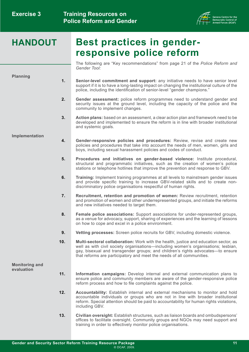

# **HANDOUT Best practices in genderresponsive police reform**

The following are "Key recommendations" from page 21 of the *Police Reform and Gender Tool:*

**Planning**

- **1. Senior-level commitment and support:** any initiative needs to have senior level support if it is to have a long-lasting impact on changing the institutional culture of the police, including the identification of senior-level "gender champions."
- **2. Gender assessment:** police reform programmes need to understand gender and security issues at the ground level, including the capacity of the police and the community to implement changes.
- **3. Action plans:** based on an assessment, a clear action plan and framework need to be developed and implemented to ensure the reform is in line with broader institutional and systemic goals.

#### **Implementation**

- **4. Gender-responsive policies and procedures:** Review, revise and create new policies and procedures that take into account the needs of men, women, girls and boys, including sexual harassment policies and codes of conduct.
- **5. Procedures and initiatives on gender-based violence:** Institute procedural, structural and programmatic initiatives, such as the creation of women's police stations or telephone hotlines that improve the prevention and response to GBV.
- **6. Training:** Implement training programmes at all levels to mainstream gender issues and provide specific training to increase GBV-related skills and to create nondiscriminatory police organisations respectful of human rights.
- **7. Recruitment, retention and promotion of women:** Review recruitment, retention and promotion of women and other underrepresented groups, and initiate the reforms and new initiatives needed to target them.
- **8. Female police associations:** Support associations for under-represented groups, as a venue for advocacy, support, sharing of experiences and the learning of lessons on how to cope and excel in a police environment.
- **9. Vetting processes:** Screen police recruits for GBV, including domestic violence.
- **10. Multi-sectoral collaboration:** Work with the health, justice and education sector, as well as with civil society organisations—including women's organisations; lesbian, gay, bisexual and transgender groups; and children's rights advocates—to ensure that reforms are participatory and meet the needs of all communities.

**Monitoring and evaluation**

- **11. Information campaigns:** Develop internal and external communication plans to ensure police and community members are aware of the gender-responsive police reform process and how to file complaints against the police.
- **12. Accountability:** Establish internal and external mechanisms to monitor and hold accountable individuals or groups who are not in line with broader institutional reform. Special attention should be paid to accountability for human rights violations, including GBV.
- **13. Civilian oversight:** Establish structures, such as liaison boards and ombudspersons' offices to facilitate oversight. Community groups and NGOs may need support and training in order to effectively monitor police organisations.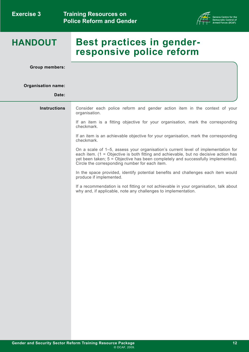

# **HANDOUT**

# **Best practices in genderresponsive police reform**

**Group members:**

#### **Organisation name:**

**Date:**

| <b>Instructions</b> | Consider each police reform and gender action item in the context of your<br>organisation.                                                                                                                                                                                                                      |
|---------------------|-----------------------------------------------------------------------------------------------------------------------------------------------------------------------------------------------------------------------------------------------------------------------------------------------------------------|
|                     | If an item is a fitting objective for your organisation, mark the corresponding<br>checkmark.                                                                                                                                                                                                                   |
|                     | If an item is an achievable objective for your organisation, mark the corresponding<br>checkmark.                                                                                                                                                                                                               |
|                     | On a scale of 1-5, assess your organisation's current level of implementation for<br>each item. (1 = Objective is both fitting and achievable, but no decisive action has<br>yet been taken; 5 = Objective has been completely and successfully implemented).<br>Circle the corresponding number for each item. |
|                     | In the space provided, identify potential benefits and challenges each item would<br>produce if implemented.                                                                                                                                                                                                    |
|                     | If a recommendation is not fitting or not achievable in your organisation, talk about<br>why and, if applicable, note any challenges to implementation.                                                                                                                                                         |
|                     |                                                                                                                                                                                                                                                                                                                 |
|                     |                                                                                                                                                                                                                                                                                                                 |
|                     |                                                                                                                                                                                                                                                                                                                 |
|                     |                                                                                                                                                                                                                                                                                                                 |
|                     |                                                                                                                                                                                                                                                                                                                 |
|                     |                                                                                                                                                                                                                                                                                                                 |
|                     |                                                                                                                                                                                                                                                                                                                 |
|                     |                                                                                                                                                                                                                                                                                                                 |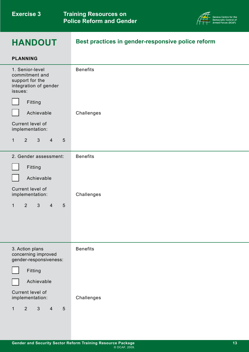

## **HANDOUT**

## **Best practices in gender-responsive police reform**

| <b>PLANNING</b>                                                                                     |                 |
|-----------------------------------------------------------------------------------------------------|-----------------|
| 1. Senior-level<br>commitment and<br>support for the<br>integration of gender<br>issues:<br>Fitting | <b>Benefits</b> |
| Achievable<br>Current level of                                                                      | Challenges      |
| implementation:                                                                                     |                 |
| 3 <sup>1</sup><br>$2^{\circ}$<br>$\overline{4}$<br>$5\phantom{.}$<br>$\mathbf{1}$                   |                 |
| 2. Gender assessment:                                                                               | <b>Benefits</b> |
| Fitting                                                                                             |                 |
| Achievable                                                                                          |                 |
| Current level of<br>implementation:                                                                 | Challenges      |
| $\mathfrak{S}$<br>$2^{\circ}$<br>$\overline{4}$<br>$5\phantom{.}$<br>$\mathbf{1}$                   |                 |
| 3. Action plans<br>concerning improved<br>gender-responsiveness:                                    | <b>Benefits</b> |
| Fitting                                                                                             |                 |
| Achievable                                                                                          |                 |
| Current level of<br>implementation:                                                                 | Challenges      |
| 2<br>$\mathfrak{Z}$<br>$5\phantom{.}$<br>$\overline{4}$<br>$\mathbf{1}$                             |                 |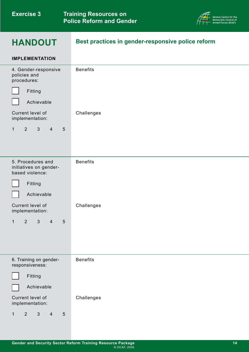Benefits



## **HANDOUT**

**IMPLEMENTATION**

4. Gender-responsive

## **Best practices in gender-responsive police reform**

| policies and<br>procedures:                                                     |                 |
|---------------------------------------------------------------------------------|-----------------|
| Fitting                                                                         |                 |
| Achievable                                                                      |                 |
| Current level of<br>implementation:                                             | Challenges      |
| $\mathbf{1}$<br>2<br>$\mathfrak{S}$<br>$\overline{4}$<br>5                      |                 |
|                                                                                 |                 |
| 5. Procedures and<br>initiatives on gender-<br>based violence:                  | <b>Benefits</b> |
| Fitting                                                                         |                 |
| Achievable                                                                      |                 |
| Current level of<br>implementation:                                             | Challenges      |
| $\overline{2}$<br>$\mathfrak{S}$<br>$\mathbf 1$<br>$\overline{4}$<br>$\sqrt{5}$ |                 |
|                                                                                 |                 |
|                                                                                 |                 |
| 6. Training on gender-<br>responsiveness:                                       | <b>Benefits</b> |
| Fitting                                                                         |                 |
| Achievable                                                                      |                 |

Current level of implementation: Challenges

1 2 3 4 5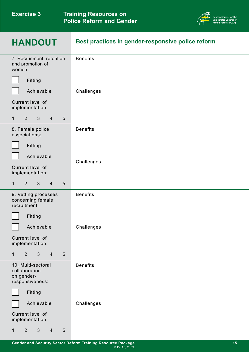| <b>Exercise 3</b> |  |
|-------------------|--|
|-------------------|--|

**Training Resources on Police Reform and Gender** 



| <b>HANDOUT</b>                                                                    | Best practices in gender-responsive police reform |
|-----------------------------------------------------------------------------------|---------------------------------------------------|
| 7. Recruitment, retention<br>and promotion of<br>women:                           | <b>Benefits</b>                                   |
| Fitting                                                                           |                                                   |
| Achievable                                                                        | Challenges                                        |
| Current level of<br>implementation:                                               |                                                   |
| $\mathbf{3}$<br>5<br>$\mathbf{1}$<br>$2^{\circ}$<br>$\overline{4}$                |                                                   |
| 8. Female police<br>associations:                                                 | <b>Benefits</b>                                   |
| Fitting                                                                           |                                                   |
| Achievable                                                                        |                                                   |
| Current level of<br>implementation:                                               | Challenges                                        |
| $5\phantom{.}$<br>$\mathbf{1}$<br>$2^{\circ}$<br>$\mathbf{3}$<br>$\overline{4}$   |                                                   |
| 9. Vetting processes<br>concerning female<br>recruitment:                         | <b>Benefits</b>                                   |
| Fitting                                                                           |                                                   |
| Achievable                                                                        | Challenges                                        |
| Current level of<br>implementation:                                               |                                                   |
| $\mathbf{3}$<br>$\overline{2}$<br>$\overline{4}$<br>$5\phantom{.}$<br>$\mathbf 1$ |                                                   |
| 10. Multi-sectoral<br>collaboration<br>on gender-<br>responsiveness:              | <b>Benefits</b>                                   |
| Fitting                                                                           |                                                   |
| Achievable                                                                        | Challenges                                        |
| Current level of<br>implementation:                                               |                                                   |
| 2 <sup>1</sup><br>3<br>$\overline{5}$<br>$\overline{4}$<br>1                      |                                                   |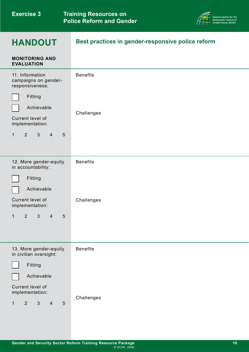

# **HANDOUT**

**Best practices in gender-responsive police reform**

| <b>MONITORING AND</b><br><b>EVALUATION</b>                                |                 |
|---------------------------------------------------------------------------|-----------------|
| 11. Information<br>campaigns on gender-<br>responsiveness:                | <b>Benefits</b> |
| Fitting<br>Achievable                                                     |                 |
| Current level of<br>implementation:                                       | Challenges      |
| 2<br>$\mathbf{3}$<br>$\overline{4}$<br>$5\phantom{.}$<br>$\mathbf{1}$     |                 |
| 12. More gender-equity<br>in accountability:                              | <b>Benefits</b> |
| Fitting                                                                   |                 |
| Achievable                                                                |                 |
| Current level of<br>implementation:                                       | Challenges      |
| $\overline{2}$<br>$\mathfrak{S}$<br>5<br>$\overline{4}$<br>1              |                 |
|                                                                           |                 |
| 13. More gender-equity<br>in civilian oversight:                          | <b>Benefits</b> |
| Fitting                                                                   |                 |
| Achievable                                                                |                 |
| Current level of<br>implementation:                                       |                 |
| $\overline{2}$<br>$\mathfrak{S}$<br>$5\phantom{.}$<br>$\overline{4}$<br>1 | Challenges      |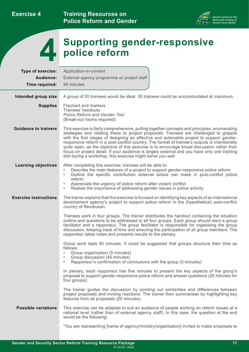**Training Resources on Police Reform and Gender** 



<span id="page-19-0"></span>

# **Supporting gender-responsive 4 police reform**

| Type of exercise:            | Application-in-context                                                                                                                                                                                                                                                                                                                                                                                                                                                                                                                                                                                                                             |
|------------------------------|----------------------------------------------------------------------------------------------------------------------------------------------------------------------------------------------------------------------------------------------------------------------------------------------------------------------------------------------------------------------------------------------------------------------------------------------------------------------------------------------------------------------------------------------------------------------------------------------------------------------------------------------------|
| Audience:                    | External agency programme or project staff                                                                                                                                                                                                                                                                                                                                                                                                                                                                                                                                                                                                         |
| Time required:               | 90 minutes                                                                                                                                                                                                                                                                                                                                                                                                                                                                                                                                                                                                                                         |
| Intended group size          | A group of 20 trainees would be ideal. 30 trainees could be accommodated at maximum.                                                                                                                                                                                                                                                                                                                                                                                                                                                                                                                                                               |
|                              |                                                                                                                                                                                                                                                                                                                                                                                                                                                                                                                                                                                                                                                    |
| <b>Supplies</b>              | Flipchart and markers<br>Trainees' handouts<br><b>Police Reform and Gender Tool</b><br>(Break-out rooms required)                                                                                                                                                                                                                                                                                                                                                                                                                                                                                                                                  |
| <b>Guidance to trainers</b>  | This exercise is fairly comprehensive, pulling together concepts and principles, enumerating<br>strategies and relating these to project proposals. Trainees are challenged to grapple<br>with the first stages of designing an effective and actionable project to support gender-<br>responsive reform in a post-conflict country. The format of trainee's outputs is intentionally<br>quite open, as the objective of this exercise is to encourage broad discussion rather than<br>focus on project detail. If your audience is largely external and you have only one training<br>slot during a workshop, this exercise might serve you well. |
| <b>Learning objectives</b>   | After completing this exercise, trainees will be able to:<br>Describe the main features of a project to support gender-responsive police reform<br>$\bullet$<br>Outline the specific contribution external actors can make in post-conflict police<br>$\bullet$<br>reform<br>Appreciate the urgency of police reform after violent conflict<br>$\bullet$<br>Realise the importance of addressing gender issues in police activity<br>$\bullet$                                                                                                                                                                                                     |
| <b>Exercise instructions</b> | The trainer explains that this exercise is focused on identifying key aspects of an international<br>development agency's project to support police reform in the (hypothetical) post-conflict<br>country of Rembukan.                                                                                                                                                                                                                                                                                                                                                                                                                             |
|                              | Trainees work in four groups. The trainer distributes the handout containing the situation<br>outline and questions to be addressed to all four groups. Each group should elect a group<br>facilitator and a rapporteur. The group facilitator is responsible for organising the group<br>discussion, keeping track of time and ensuring the participation of all group members. The<br>rapporteur takes notes and presents results to the plenary.                                                                                                                                                                                                |
|                              | Group work lasts 50 minutes. It could be suggested that groups structure their time as<br>follows:<br>Group organisation (5 minutes)<br>$\bullet$<br>Group discussion (40 minutes)<br>Rapporteur's confirmation of conclusions with the group (5 minutes)<br>$\bullet$                                                                                                                                                                                                                                                                                                                                                                             |
|                              | In plenary, each rapporteur has five minutes to present the key aspects of the group's<br>proposal to support gender-responsive police reform and answer questions (20 minutes for<br>four groups).                                                                                                                                                                                                                                                                                                                                                                                                                                                |
|                              | The trainer guides the discussion by pointing out similarities and differences between<br>project proposals and inviting reactions. The trainer then summarises by highlighting key<br>features from all proposals (20 minutes).                                                                                                                                                                                                                                                                                                                                                                                                                   |
| <b>Possible variations</b>   | This exercise can be adapted to suit an audience of people working on reform issues at a<br>national level (rather than of external agency staff). In this case, the question at the end<br>would be the following:                                                                                                                                                                                                                                                                                                                                                                                                                                |
|                              | "You are representing [name of agency/ministry/organisation] invited to make proposals to                                                                                                                                                                                                                                                                                                                                                                                                                                                                                                                                                          |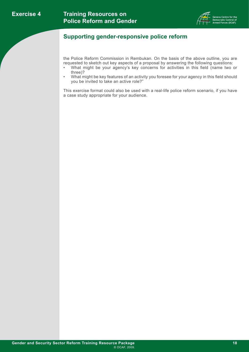

## **Supporting gender-responsive police reform**

the Police Reform Commission in Rembukan. On the basis of the above outline, you are requested to sketch out key aspects of a proposal by answering the following questions:

- What might be your agency's key concerns for activities in this field (name two or three)?
- What might be key features of an activity you foresee for your agency in this field should you be invited to take an active role?"

This exercise format could also be used with a real-life police reform scenario, if you have a case study appropriate for your audience.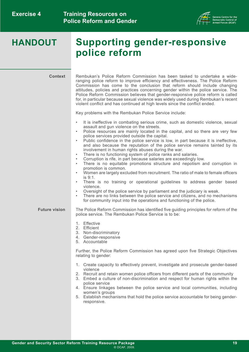

# **HANDOUT Supporting gender-responsive police reform**

**Context**

Rembukan's Police Reform Commission has been tasked to undertake a wideranging police reform to improve efficiency and effectiveness. The Police Reform Commission has come to the conclusion that reform should include changing attitudes, policies and practices concerning gender within the police service. The Police Reform Commission believes that gender-responsive police reform is called for, in particular because sexual violence was widely used during Rembukan's recent violent conflict and has continued at high levels since the conflict ended.

Key problems with the Rembukan Police Service include:

- It is ineffective in combating serious crime, such as domestic violence, sexual assault and gun violence on the streets.
- Police resources are mainly located in the capital, and so there are very few police services provided outside the capital.
- Public confidence in the police service is low, in part because it is ineffective, and also because the reputation of the police service remains tainted by its involvement in human rights abuses during the war.
- There is no functioning system of police ranks and salaries.
- Corruption is rife, in part because salaries are exceedingly low.
- There is no equitable promotions structure and nepotism and corruption in promotion is common.
- Women are largely excluded from recruitment. The ratio of male to female officers  $is 9.1$
- There is no training or operational guidelines to address gender based violence.
- Oversight of the police service by parliament and the judiciary is weak.
- There are no links between the police service and citizens, and no mechanisms for community input into the operations and functioning of the police.

#### **Future vision** The Police Reform Commission has identified five guiding principles for reform of the police service. The Rembukan Police Service is to be:

- 1. Effective
- 2. Efficient
- 3. Non-discriminatory
- 4. Gender-responsive
- 5. Accountable

Further, the Police Reform Commission has agreed upon five Strategic Objectives relating to gender:

- 1. Create capacity to effectively prevent, investigate and prosecute gender-based violence
- 2. Recruit and retain women police officers from different parts of the community
- 3. Embed a culture of non-discrimination and respect for human rights within the police service
- 4. Ensure linkages between the police service and local communities, including women's groups
- 5. Establish mechanisms that hold the police service accountable for being genderresponsive.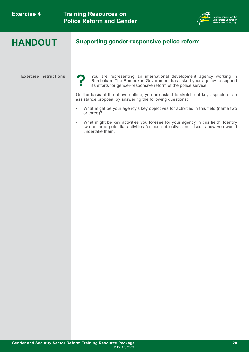

## **HANDOUT**

**Exercise instructions** You are representing an international development agency working in Rembukan. The Rembukan Government has asked your agency to support its efforts for gender-responsive reform of the police service. **?**

> On the basis of the above outline, you are asked to sketch out key aspects of an assistance proposal by answering the following questions:

**Supporting gender-responsive police reform** 

- What might be your agency's key objectives for activities in this field (name two or three)?
- What might be key activities you foresee for your agency in this field? Identify two or three potential activities for each objective and discuss how you would undertake them.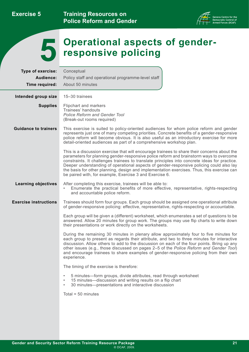**Training Resources on Police Reform and Gender** 



<span id="page-23-0"></span>

# **Operational aspects of gender- 5 responsive policing**

| Type of exercise:            | Conceptual                                                                                                                                                                                                                                                                                                                                                                                                                                                                                                                                    |
|------------------------------|-----------------------------------------------------------------------------------------------------------------------------------------------------------------------------------------------------------------------------------------------------------------------------------------------------------------------------------------------------------------------------------------------------------------------------------------------------------------------------------------------------------------------------------------------|
| Audience:                    | Policy staff and operational programme-level staff                                                                                                                                                                                                                                                                                                                                                                                                                                                                                            |
| Time required:               | About 50 minutes                                                                                                                                                                                                                                                                                                                                                                                                                                                                                                                              |
| Intended group size          | 15-30 trainees                                                                                                                                                                                                                                                                                                                                                                                                                                                                                                                                |
|                              |                                                                                                                                                                                                                                                                                                                                                                                                                                                                                                                                               |
| <b>Supplies</b>              | Flipchart and markers<br>Trainees' handouts<br><b>Police Reform and Gender Tool</b><br>(Break-out rooms required)                                                                                                                                                                                                                                                                                                                                                                                                                             |
| <b>Guidance to trainers</b>  | This exercise is suited to policy-oriented audiences for whom police reform and gender<br>represents just one of many competing priorities. Concrete benefits of a gender-responsive<br>police reform will become obvious. It is also useful as an introductory exercise for more<br>detail-oriented audiences as part of a comprehensive workshop plan.                                                                                                                                                                                      |
|                              | This is a discussion exercise that will encourage trainees to share their concerns about the<br>parameters for planning gender-responsive police reform and brainstorm ways to overcome<br>constraints. It challenges trainees to translate principles into concrete ideas for practice.<br>Deeper understanding of operational aspects of gender-responsive policing could also lay<br>the basis for other planning, design and implementation exercises. Thus, this exercise can<br>be paired with, for example, Exercise 3 and Exercise 6. |
| <b>Learning objectives</b>   | After completing this exercise, trainees will be able to:<br>Enumerate the practical benefits of more effective, representative, rights-respecting<br>$\bullet$<br>and accountable police reform.                                                                                                                                                                                                                                                                                                                                             |
| <b>Exercise instructions</b> | Trainees should form four groups. Each group should be assigned one operational attribute<br>of gender-responsive policing: effective, representative, rights-respecting or accountable.                                                                                                                                                                                                                                                                                                                                                      |
|                              | Each group will be given a (different) worksheet, which enumerates a set of questions to be<br>answered. Allow 20 minutes for group work. The groups may use flip charts to write down<br>their presentations or work directly on the worksheets.                                                                                                                                                                                                                                                                                             |
|                              | During the remaining 30 minutes in plenary allow approximately four to five minutes for<br>each group to present as regards their attribute, and two to three minutes for interactive<br>discussion. Allow others to add to the discussion on each of the four points. Bring up any<br>other issues (e.g., those discussed on pages 2–5 of the Police Reform and Gender Tool)<br>and encourage trainees to share examples of gender-responsive policing from their own<br>experience.                                                         |
|                              | The timing of the exercise is therefore:                                                                                                                                                                                                                                                                                                                                                                                                                                                                                                      |
|                              | 5 minutes-form groups, divide attributes, read through worksheet<br>$\bullet$<br>15 minutes—discussion and writing results on a flip chart<br>$\bullet$<br>30 minutes—presentations and interactive discussion<br>$\bullet$                                                                                                                                                                                                                                                                                                                   |
|                              | Total = $50$ minutes                                                                                                                                                                                                                                                                                                                                                                                                                                                                                                                          |
|                              |                                                                                                                                                                                                                                                                                                                                                                                                                                                                                                                                               |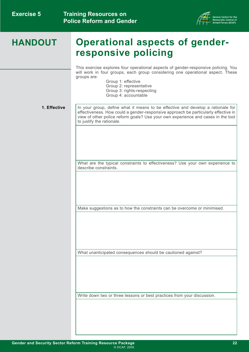

This exercise explores four operational aspects of gender-responsive policing. You will work in four groups, each group considering one operational aspect. These groups are:

 Group 1: effective Group 2: representative Group 3: rights-respecting Group 4: accountable

#### **1. Effective**

In your group, define what it means to be effective and develop a rationale for effectiveness. How could a gender-responsive approach be particularly effective in view of other police reform goals? Use your own experience and cases in the tool to justify the rationale.

What are the typical constraints to effectiveness? Use your own experience to describe constraints.

Make suggestions as to how the constraints can be overcome or minimised.

What unanticipated consequences should be cautioned against?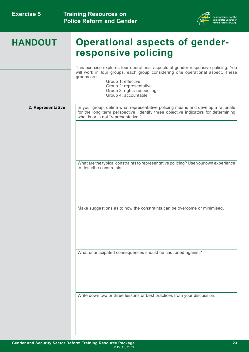

This exercise explores four operational aspects of gender-responsive policing. You will work in four groups, each group considering one operational aspect. These groups are:

 Group 1: effective Group 2: representative Group 3: rights-respecting Group 4: accountable

**2. Representative** 

In your group, define what representative policing means and develop a rationale for the long term perspective. Identify three objective indicators for determining what is or is not "representative."

What are the typical constraints to representative policing? Use your own experience to describe constraints.

Make suggestions as to how the constraints can be overcome or minimised.

What unanticipated consequences should be cautioned against?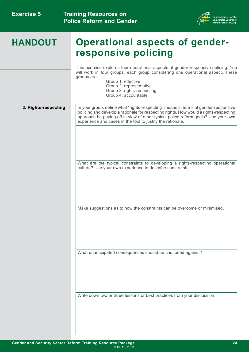

This exercise explores four operational aspects of gender-responsive policing. You will work in four groups, each group considering one operational aspect. These groups are:

 Group 1: effective Group 2: representative Group 3: rights-respecting

Group 4: accountable

**3. Rights-respecting** 

In your group, define what "rights-respecting" means in terms of gender-responsive policing and develop a rationale for respecting rights. How would a rights-respecting approach be paying off in view of other typical police reform goals? Use your own experience and cases in the tool to justify the rationale.

What are the typical constraints to developing a rights-respecting operational culture? Use your own experience to describe constraints.

Make suggestions as to how the constraints can be overcome or minimised.

What unanticipated consequences should be cautioned against?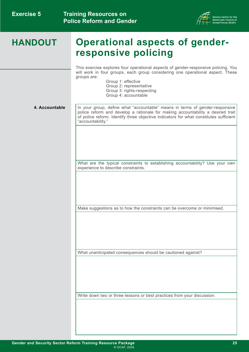

This exercise explores four operational aspects of gender-responsive policing. You will work in four groups, each group considering one operational aspect. These groups are:

 Group 1: effective Group 2: representative Group 3: rights-respecting Group 4: accountable

#### **4. Accountable**

In your group, define what "accountable" means in terms of gender-responsive police reform and develop a rationale for making accountability a desired trait of police reform. Identify three objective indicators for what constitutes sufficient "accountability."

What are the typical constraints to establishing accountability? Use your own experience to describe constraints.

Make suggestions as to how the constraints can be overcome or minimised.

What unanticipated consequences should be cautioned against?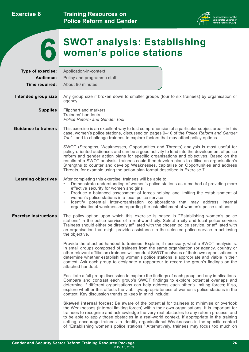

<span id="page-28-0"></span>

| Type of exercise:            | Application-in-context                                                                                                                                                                                                                                                                                                                                                                                                                                                                                                                                                      |
|------------------------------|-----------------------------------------------------------------------------------------------------------------------------------------------------------------------------------------------------------------------------------------------------------------------------------------------------------------------------------------------------------------------------------------------------------------------------------------------------------------------------------------------------------------------------------------------------------------------------|
| Audience:                    | Policy and programme staff                                                                                                                                                                                                                                                                                                                                                                                                                                                                                                                                                  |
| Time required:               | About 90 minutes                                                                                                                                                                                                                                                                                                                                                                                                                                                                                                                                                            |
| Intended group size          | Any group size if broken down to smaller groups (four to six trainees) by organisation or<br>agency                                                                                                                                                                                                                                                                                                                                                                                                                                                                         |
| <b>Supplies</b>              | Flipchart and markers<br>Trainees' handouts<br><b>Police Reform and Gender Tool</b>                                                                                                                                                                                                                                                                                                                                                                                                                                                                                         |
| <b>Guidance to trainers</b>  | This exercise is an excellent way to test comprehension of a particular subject area—in this<br>case, women's police stations, discussed on pages 9-10 of the Police Reform and Gender<br>Tool—and to challenge trainees to explore factors that may affect policy options.                                                                                                                                                                                                                                                                                                 |
|                              | SWOT (Strengths, Weaknesses, Opportunities and Threats) analysis is most useful for<br>policy-oriented audiences and can be a good activity to lead into the development of police<br>reform and gender action plans for specific organisations and objectives. Based on the<br>results of a SWOT analysis, trainees could then develop plans to utilise an organisation's<br>Strengths to counter and develop Weaknesses, capitalise on Opportunities and address<br>Threats, for example using the action plan format described in Exercise 7.                            |
| <b>Learning objectives</b>   | After completing this exercise, trainees will be able to:<br>Demonstrate understanding of women's police stations as a method of providing more<br>$\bullet$<br>effective security for women and girls<br>Produce a balanced assessment of forces helping and limiting the establishment of<br>$\bullet$<br>women's police stations in a local police service<br>Identify potential inter-organisation collaborations that may address internal<br>$\bullet$<br>organisational weaknesses regarding the establishment of women's police stations                            |
| <b>Exercise instructions</b> | The policy option upon which this exercise is based is "Establishing women's police<br>stations" in the police service of a real-world city. Select a city and local police service.<br>Trainees should either be directly affiliated with the chosen police service, or affiliated with<br>an organisation that might provide assistance to the selected police service in achieving<br>the objective.                                                                                                                                                                     |
|                              | Provide the attached handout to trainees. Explain, if necessary, what a SWOT analysis is.<br>In small groups composed of trainees from the same organisation (or agency, country or<br>other relevant affiliation) trainees will conduct SWOT analyses of their own organisations to<br>determine whether establishing women's police stations is appropriate and viable in their<br>context. Ask each group to designate a rapporteur to record the group's findings on the<br>attached handout.                                                                           |
|                              | Facilitate a full group discussion to explore the findings of each group and any implications.<br>Compare and contrast each group's SWOT findings to explore potential overlaps and<br>determine if different organisations can help address each other's limiting forces; if so,<br>explore whether this affects the viability/appropriateness of women's police stations in the<br>context. Key discussion trends to keep in mind include:                                                                                                                                |
|                              | Skewed internal forces: Be aware of the potential for trainees to minimise or overlook<br>the Weaknesses (internal limiting forces) within their own organisations. It is important for<br>trainees to recognise and acknowledge the very real obstacles to any reform process, and<br>to be able to apply those obstacles in a real-world context. If appropriate in the training<br>setting, encourage trainees to identify organisational Weaknesses in the specific context<br>of "Establishing women's police stations." Alternatively, trainees may focus too much on |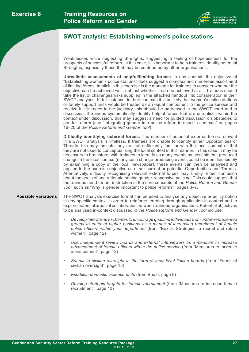

### **SWOT analysis: Establishing women's police stations**

Weaknesses while neglecting Strengths, suggesting a feeling of hopelessness for the prospects of successful reform. In this case, it is important to help trainees identify potential Strengths, especially those that may be contributed by other organisations.

**Unrealistic assessments of helpful/limiting forces:** In any context, the objective of "Establishing women's police stations" does suggest a complex and numerous assortment of limiting forces. Implicit in this exercise is the mandate for trainees to consider whether the objective can be achieved well, not just whether it can be achieved at all. Trainees should take the list of challenges/risks supplied in the attached handout into consideration in their SWOT analyses. If, for instance, in their contexts it is unlikely that women's police stations or family support units would be treated as an equal component to the police service and receive full linkages to the judiciary, this should be addressed in the SWOT chart and in discussion. If trainees systematically identify helpful forces that are unrealistic within the context under discussion, this may suggest a need for guided discussion on obstacles to gender reform (see "Integrating gender into police reform in specific contexts" on pages 16–20 of the *Police Reform and Gender Tool*).

**Difficulty identifying external forces:** The number of potential external forces relevant in a SWOT analysis is limitless. If trainees are unable to identify either Opportunities or Threats, this may indicate they are not sufficiently familiar with the local context or that they are not used to conceptualising the local context in this manner. In this case, it may be necessary to brainstorm with trainees to identify as many events as possible that produced change in the local context (many such change-producing events could be identified simply by examining a copy of the local newspaper); these events can then be analysed and applied to the exercise objective as either current or potential Opportunities and Threats. Alternatively, difficulty recognising relevant external forces may simply reflect confusion about the goals of and rationale behind gender-responsive policing. This could suggest that the trainees need further instruction in the core concepts of the *Police Reform and Gender Tool*, such as "Why is gender important to police reform?", pages 3–7.

- **Possible variations** The SWOT analysis exercise format can be used to analyse any objective or policy option in any specific context in order to reinforce learning through application-in-context and to explore potential areas of collaboration between trainees' organisations. Potential objectives to be analysed in-context discussed in the *Police Reform and Gender Tool* include:
	- *• Develop lateral entry schemes to encourage qualified individuals from under-represented groups to enter at higher positions as a means of increasing recruitment of female police officers within your department* (from "Box 8: Strategies to recruit and retain women", page 12)
	- *• Use independent review boards and external interviewers as a measure to increase advancement of female officers within the police service* (from "Measures to increase advancement", page 13)
	- Submit to civilian oversight in the form of local-level liaison boards (from "Forms of civilian oversight", page 15)
	- *Establish domestic violence units (from Box 6, page 9)*
	- *Develop strategic targets for female recruitment (from "Measures to increase female* recruitment", page 13)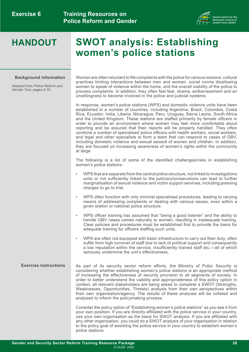

# **HANDOUT SWOT analysis: Establishing women's police stations**

#### **Background information**

Adapted from *Police Reform and Gender Tool*, pages 9-10.

Women are often reluctant to file complaints with the police for various reasons: cultural practices limiting interactions between men and women, social norms disallowing women to speak of violence within the home, and the overall inability of the police to process complaints. In addition, they often feel fear, shame, embarrassment and an unwillingness to become involved in the police and judicial systems.

In response, women's police stations (WPS) and domestic violence units have been established in a number of countries, including Argentina, Brazil, Colombia, Costa Rica, Ecuador, India, Liberia, Nicaragua, Peru, Uruguay, Sierra Leone, South Africa and the United Kingdom. These stations are staffed primarily by female officers in order to provide an environment where women may feel more comfortable about reporting and be assured that their reports will be properly handled. They often combine a number of specialised police officers with health workers, social workers, and legal and other specialists to form a team that can respond to cases of GBV, including domestic violence and sexual assault of women and children. In addition, they are focused on increasing awareness of women's rights within the community at large.

The following is a list of some of the identified challenges/risks in establishing women's police stations:

- WPS that are separate from the central police structure, not linked to investigations units or not sufficiently linked to the judiciary/prosecutions can lead to further marginalisation of sexual violence and victim support services, including pressing charges to go to trial.
- WPS often function with only minimal specialised procedures, leading to varying means of addressing complaints or dealing with various issues, even within a given station or national police structure.
- WPS officer training has assumed that "being a good listener" and the ability to handle GBV cases comes naturally to women, resulting in inadequate training. Clear policies and procedures must be established first to provide the basis for adequate training for officers staffing such units.
- WPS are often not equipped with basic infrastructure to carry out their duty; often suffer from high turnover of staff due to lack of political support and consequently a low reputation within the service, insufficiently trained staff etc.—all of which seriously undermine the unit's effectiveness.

#### **Exercise instructions** As part of its security sector reform efforts, the Ministry of Pubic Security is considering whether establishing women's police stations is an appropriate method of increasing the effectiveness of security provision to all segments of society. In order to better understand the viability and appropriateness of this policy option in context, all relevant stakeholders are being asked to complete a SWOT (Strengths, Weaknesses, Opportunities, Threats) analysis from their own perspectives within their own organisation/agency. The results of these analyses will be collated and analysed to inform the policymaking process.

Consider the policy option of "Establishing women's police stations" as you see it from your own position. If you are directly affiliated with the police service in your country, use your own organisation as the basis for SWOT analysis. If you are affiliated with any other organisation, you could do a SWOT analysis of your organisation in relation to the policy goal of assisting the police service in your country to establish women's police stations.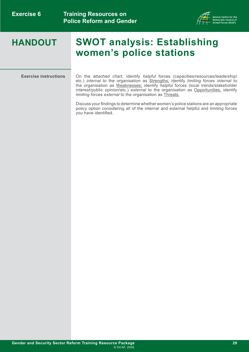**Training Resources on Police Reform and Gender** 



# **HANDOUT SWOT analysis: Establishing women's police stations**

**Exercise instructions** On the attached chart, identify *helpful* forces (capacities/resources/leadership/ etc.) *internal* to the organisation as Strengths; identify *limiting* forces *internal* to the organisation as Weaknesses; identify *helpful* forces (local trends/stakeholder interest/public opinion/etc.) *external* to the organisation as Opportunities; identify *limiting* forces *external* to the organisation as Threats.

> Discuss your findings to determine whether women's police stations are an appropriate policy option considering all of the internal and external helpful and limiting forces you have identified.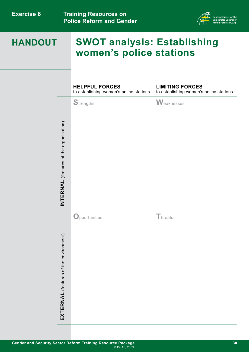**Training Resources on Police Reform and Gender** 



# **HANDOUT SWOT analysis: Establishing women's police stations**

|                                           | <b>HELPFUL FORCES</b><br>to establishing women's police stations | <b>LIMITING FORCES</b><br>to establishing women's police stations |
|-------------------------------------------|------------------------------------------------------------------|-------------------------------------------------------------------|
| INTERNAL (features of the organisation)   | Strengths                                                        | Weaknesses                                                        |
| the environment)<br>EXTERNAL (features of | Opportunities                                                    | Threats                                                           |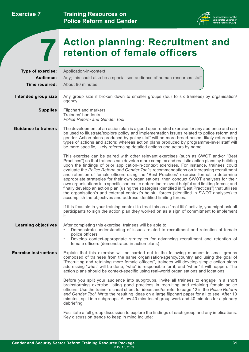**Training Resources on Police Reform and Gender** 



# <span id="page-33-0"></span>**Action planning: Recruitment and 7 retention of female officers**

| <b>Type of exercise:</b>     | Application-in-context                                                                                                                                                                                                                                                                                                                                                                                                                                                                                                                                                                                                                                                                                                                                                                                                                                                                                                                        |
|------------------------------|-----------------------------------------------------------------------------------------------------------------------------------------------------------------------------------------------------------------------------------------------------------------------------------------------------------------------------------------------------------------------------------------------------------------------------------------------------------------------------------------------------------------------------------------------------------------------------------------------------------------------------------------------------------------------------------------------------------------------------------------------------------------------------------------------------------------------------------------------------------------------------------------------------------------------------------------------|
| Audience:                    | Any; this could also be a specialised audience of human resources staff                                                                                                                                                                                                                                                                                                                                                                                                                                                                                                                                                                                                                                                                                                                                                                                                                                                                       |
| Time required:               | About 90 minutes                                                                                                                                                                                                                                                                                                                                                                                                                                                                                                                                                                                                                                                                                                                                                                                                                                                                                                                              |
| Intended group size          | Any group size if broken down to smaller groups (four to six trainees) by organisation/<br>agency                                                                                                                                                                                                                                                                                                                                                                                                                                                                                                                                                                                                                                                                                                                                                                                                                                             |
| <b>Supplies</b>              | Flipchart and markers<br>Trainees' handouts<br><b>Police Reform and Gender Tool</b>                                                                                                                                                                                                                                                                                                                                                                                                                                                                                                                                                                                                                                                                                                                                                                                                                                                           |
| <b>Guidance to trainers</b>  | The development of an action plan is a good open-ended exercise for any audience and can<br>be used to illustrate/explore policy and implementation issues related to police reform and<br>gender. Action plans produced by policy staff will be more broad-based, likely referencing<br>types of actions and actors; whereas action plans produced by programme-level staff will<br>be more specific, likely referencing detailed actions and actors by name.                                                                                                                                                                                                                                                                                                                                                                                                                                                                                |
|                              | This exercise can be paired with other relevant exercises (such as SWOT and/or "Best<br>Practices") so that trainees can develop more complex and realistic action plans by building<br>upon the findings of prior application-in-context exercises. For instance, trainees could<br>evaluate the Police Reform and Gender Tool's recommendations on increasing recruitment<br>and retention of female officers using the "Best Practices" exercise format to determine<br>appropriate strategies for their own organisations; then conduct SWOT analyses for their<br>own organisations in a specific context to determine relevant helpful and limiting forces; and<br>finally develop an action plan (using the strategies identified in "Best Practices") that utilises<br>the organisation's and external context's helpful forces (identified in SWOT analyses) to<br>accomplish the objectives and address identified limiting forces. |
|                              | If it is feasible in your training context to treat this as a "real life" activity, you might ask all<br>participants to sign the action plan they worked on as a sign of commitment to implement<br>it.                                                                                                                                                                                                                                                                                                                                                                                                                                                                                                                                                                                                                                                                                                                                      |
| <b>Learning objectives</b>   | After completing this exercise, trainees will be able to:<br>Demonstrate understanding of issues related to recruitment and retention of female<br>$\bullet$<br>police officers<br>Develop context-appropriate strategies for advancing recruitment and retention of<br>٠<br>female officers (demonstrated in action plans)                                                                                                                                                                                                                                                                                                                                                                                                                                                                                                                                                                                                                   |
| <b>Exercise instructions</b> | Explain that this exercise will be carried out in the following manner: in small groups<br>composed of trainees from the same organisation/agency/country and using the goal of<br>"Recruiting and retaining more female officers", trainees will develop simple action plans<br>addressing "what" will be done, "who" is responsible for it, and "when" it will happen. The<br>action plans should be context-specific using real-world organisations and locations.                                                                                                                                                                                                                                                                                                                                                                                                                                                                         |
|                              | Before you split your audience into subgroups, invite all trainees to engage in a short<br>brainstorming exercise listing good practices in recruiting and retaining female police<br>officers. Use the trainer's cheat sheet for ideas and/or refer to page 12 in the Police Reform<br>and Gender Tool. Write the resulting ideas on a large flipchart paper for all to see. After 10<br>minutes, split into subgroups. Allow 40 minutes of group work and 40 minutes for a plenary<br>debriefing.                                                                                                                                                                                                                                                                                                                                                                                                                                           |
|                              | Facilitate a full group discussion to explore the findings of each group and any implications.<br>Key discussion trends to keep in mind include:                                                                                                                                                                                                                                                                                                                                                                                                                                                                                                                                                                                                                                                                                                                                                                                              |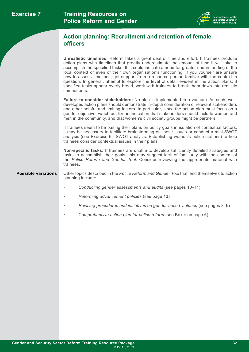

### **Action planning: Recruitment and retention of female officers**

**Unrealistic timelines:** Reform takes a great deal of time and effort. If trainees produce action plans with timelines that greatly underestimate the amount of time it will take to accomplish the specified tasks, this could indicate a need for greater understanding of the local context or even of their own organisation's functioning. If you yourself are unsure how to assess timelines, get support from a resource person familiar with the context in question. In general, attempt to explore the level of detail evident in the action plans; if specified tasks appear overly broad, work with trainees to break them down into realistic components.

**Failure to consider stakeholders:** No plan is implemented in a vacuum. As such, welldeveloped action plans should demonstrate in-depth consideration of relevant stakeholders and other helpful and limiting factors. In particular, since the action plan must focus on a gender objective, watch out for an indication that stakeholders should include women and men in the community, and that women's civil society groups might be partners.

If trainees seem to be basing their plans on policy goals in isolation of contextual factors, it may be necessary to facilitate brainstorming on these issues or conduct a mini-SWOT analysis (see Exercise 6—SWOT analysis: Establishing women's police stations) to help trainees consider contextual issues in their plans.

**Non-specific tasks:** If trainees are unable to develop sufficiently detailed strategies and tasks to accomplish their goals, this may suggest lack of familiarity with the content of the *Police Reform and Gender Tool*. Consider reviewing the appropriate material with trainees.

**Possible variations** Other topics described in the *Police Reform and Gender Tool* that lend themselves to action planning include:

- *Conducting gender assessments and audits* (see pages 10–11)
- *Reforming advancement policies* (see page 13)
- *Revising procedures and initiatives on gender-based violence* (see pages 8–9)
- *Comprehensive action plan for police reform* (see Box 4 on page 6)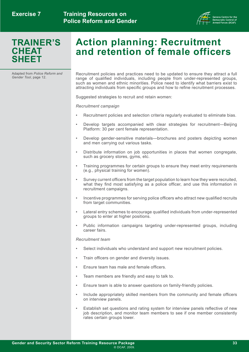

## **TRAINER'S CHEAT SHEET**

# **Action planning: Recruitment and retention of female officers**

Adapted from *Police Reform and* 

*Gecruitment policies and practices need to be updated to ensure they attract a full* range of qualified individuals, including people from under-represented groups, such as women and ethnic minorities. Police need to identify what barriers exist to attracting individuals from specific groups and how to refine recruitment processes.

Suggested strategies to recruit and retain women:

*Recruitment campaign*

- Recruitment policies and selection criteria regularly evaluated to eliminate bias.
- Develop targets accompanied with clear strategies for recruitment—Beijing Platform: 30 per cent female representation.
- Develop gender-sensitive materials—brochures and posters depicting women and men carrying out various tasks.
- Distribute information on job opportunities in places that women congregate, such as grocery stores, gyms, etc.
- Training programmes for certain groups to ensure they meet entry requirements (e.g., physical training for women).
- Survey current officers from the target population to learn how they were recruited, what they find most satisfying as a police officer, and use this information in recruitment campaigns.
- Incentive programmes for serving police officers who attract new qualified recruits from target communities.
- Lateral entry schemes to encourage qualified individuals from under-represented groups to enter at higher positions.
- Public information campaigns targeting under-represented groups, including career fairs.

#### *Recruitment team*

- Select individuals who understand and support new recruitment policies.
- Train officers on gender and diversity issues.
- Ensure team has male and female officers.
- Team members are friendly and easy to talk to.
- Ensure team is able to answer questions on family-friendly policies.
- Include appropriately skilled members from the community and female officers on interview panels.
- Establish set questions and rating system for interview panels reflective of new job description, and monitor team members to see if one member consistently rates certain groups lower.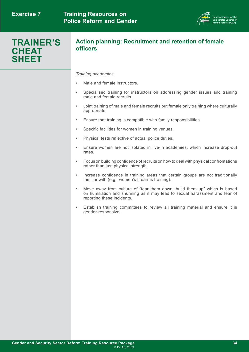

## **TRAINER'S CHEAT SHEET**

#### **Action planning: Recruitment and retention of female officers**

#### *Training academies*

- Male and female instructors.
- Specialised training for instructors on addressing gender issues and training male and female recruits.
- Joint training of male and female recruits but female only training where culturally appropriate.
- Ensure that training is compatible with family responsibilities.
- Specific facilities for women in training venues.
- Physical tests reflective of actual police duties.
- Ensure women are not isolated in live-in academies, which increase drop-out rates.
- Focus on building confidence of recruits on how to deal with physical confrontations rather than just physical strength.
- Increase confidence in training areas that certain groups are not traditionally familiar with (e.g., women's firearms training).
- Move away from culture of "tear them down; build them up" which is based on humiliation and shunning as it may lead to sexual harassment and fear of reporting these incidents.
- Establish training committees to review all training material and ensure it is gender-responsive.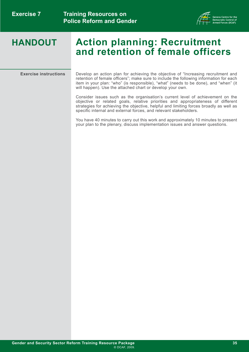

# **HANDOUT Action planning: Recruitment and retention of female officers**

**Exercise instructions** Develop an action plan for achieving the objective of "Increasing recruitment and retention of female officers"; make sure to include the following information for each item in your plan: "who" (is responsible), "what" (needs to be done), and "when" (it will happen). Use the attached chart or develop your own.

> Consider issues such as the organisation's current level of achievement on the objective or related goals, relative priorities and appropriateness of different strategies for achieving the objective, helpful and limiting forces broadly as well as specific internal and external forces, and relevant stakeholders.

> You have 40 minutes to carry out this work and approximately 10 minutes to present your plan to the plenary, discuss implementation issues and answer questions.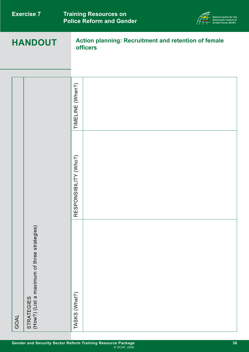| <b>Exercise 7</b><br><b>HANDOUT</b> |                                                                  |                           | <b>Training Resources on</b><br><b>Police Reform and Gender</b><br>Democratic Control of<br>Armed Forces (DCAF)<br><b>Action planning: Recruitment and retention of female</b><br><b>officers</b> |  |
|-------------------------------------|------------------------------------------------------------------|---------------------------|---------------------------------------------------------------------------------------------------------------------------------------------------------------------------------------------------|--|
|                                     |                                                                  |                           |                                                                                                                                                                                                   |  |
|                                     |                                                                  | TIMELINE (When?)          |                                                                                                                                                                                                   |  |
|                                     |                                                                  | NSIBILITY (Who?)<br>RESPO |                                                                                                                                                                                                   |  |
| GOAL                                | (How?) (List a maximum of three strategies)<br><b>STRATEGIES</b> | TASKS (What?)             |                                                                                                                                                                                                   |  |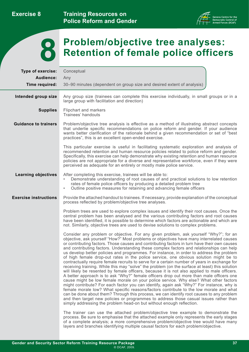**Exercise 8**

**Training Resources on Police Reform and Gender** 





# **Problem/objective tree analyses: 8 Retention of female police officers**

| Type of exercise:            | Conceptual                                                                                                                                                                                                                                                                                                                                                                                                                                                                                                                                                                                                                                                                                                                                                                                                                                                                                                                                                                                                                                                                                                                                                                                                                                                                                                                                                                                                                                                                                                   |
|------------------------------|--------------------------------------------------------------------------------------------------------------------------------------------------------------------------------------------------------------------------------------------------------------------------------------------------------------------------------------------------------------------------------------------------------------------------------------------------------------------------------------------------------------------------------------------------------------------------------------------------------------------------------------------------------------------------------------------------------------------------------------------------------------------------------------------------------------------------------------------------------------------------------------------------------------------------------------------------------------------------------------------------------------------------------------------------------------------------------------------------------------------------------------------------------------------------------------------------------------------------------------------------------------------------------------------------------------------------------------------------------------------------------------------------------------------------------------------------------------------------------------------------------------|
| Audience:                    | Any                                                                                                                                                                                                                                                                                                                                                                                                                                                                                                                                                                                                                                                                                                                                                                                                                                                                                                                                                                                                                                                                                                                                                                                                                                                                                                                                                                                                                                                                                                          |
| Time required:               | 30–90 minutes (dependent on group size and desired extent of analysis)                                                                                                                                                                                                                                                                                                                                                                                                                                                                                                                                                                                                                                                                                                                                                                                                                                                                                                                                                                                                                                                                                                                                                                                                                                                                                                                                                                                                                                       |
| Intended group size          | Any group size (trainees can complete this exercise individually, in small groups or in a<br>large group with facilitation and direction)                                                                                                                                                                                                                                                                                                                                                                                                                                                                                                                                                                                                                                                                                                                                                                                                                                                                                                                                                                                                                                                                                                                                                                                                                                                                                                                                                                    |
| <b>Supplies</b>              | Flipchart and markers<br>Trainees' handouts                                                                                                                                                                                                                                                                                                                                                                                                                                                                                                                                                                                                                                                                                                                                                                                                                                                                                                                                                                                                                                                                                                                                                                                                                                                                                                                                                                                                                                                                  |
| <b>Guidance to trainers</b>  | Problem/objective tree analysis is effective as a method of illustrating abstract concepts<br>that underlie specific recommendations on police reform and gender. If your audience<br>wants better clarification of the rationale behind a given recommendation or set of "best<br>practices", this is an excellent open-ended exercise.                                                                                                                                                                                                                                                                                                                                                                                                                                                                                                                                                                                                                                                                                                                                                                                                                                                                                                                                                                                                                                                                                                                                                                     |
|                              | This particular exercise is useful in facilitating systematic exploration and analysis of<br>recommended retention and human resource policies related to police reform and gender.<br>Specifically, this exercise can help demonstrate why existing retention and human resource<br>policies are not appropriate for a diverse and representative workforce, even if they were<br>perceived as adequate for an entirely or mostly male police service.                                                                                                                                                                                                                                                                                                                                                                                                                                                                                                                                                                                                                                                                                                                                                                                                                                                                                                                                                                                                                                                      |
| <b>Learning objectives</b>   | After completing this exercise, trainees will be able to:<br>Demonstrate understanding of root causes of and practical solutions to low retention<br>$\bullet$<br>rates of female police officers by producing a detailed problem tree<br>Outline positive measures for retaining and advancing female officers<br>$\bullet$                                                                                                                                                                                                                                                                                                                                                                                                                                                                                                                                                                                                                                                                                                                                                                                                                                                                                                                                                                                                                                                                                                                                                                                 |
| <b>Exercise instructions</b> | Provide the attached handout to trainees. If necessary, provide explanation of the conceptual<br>process reflected by problem/objective tree analyses.                                                                                                                                                                                                                                                                                                                                                                                                                                                                                                                                                                                                                                                                                                                                                                                                                                                                                                                                                                                                                                                                                                                                                                                                                                                                                                                                                       |
|                              | Problem trees are used to explore complex issues and identify their root causes. Once the<br>central problem has been analysed and the various contributing factors and root causes<br>have been identified, it is possible to determine which factors are actionable and which are<br>not. Similarly, objective trees are used to devise solutions to complex problems.                                                                                                                                                                                                                                                                                                                                                                                                                                                                                                                                                                                                                                                                                                                                                                                                                                                                                                                                                                                                                                                                                                                                     |
|                              | Consider any problem or objective. For any given problem, ask yourself "Why?"; for an<br>objective, ask yourself "How?" Most problems or objectives have many interrelated causes<br>or contributing factors. Those causes and contributing factors in turn have their own causes<br>and contributing factors. Understanding these complex factors and relationships can help<br>us develop better policies and programmes. For instance, in order to address the problem<br>of high female drop-out rates in the police service, one obvious solution might be to<br>contractually require female recruits to serve for a certain number of years in exchange for<br>receiving training. While this may "solve" the problem (on the surface at least) this solution<br>will likely be resented by female officers, because it is not also applied to male officers.<br>A better approach is to ask "Why?" female officers drop out more than male officers one<br>cause might be low female morale on your police service. Why else? What other factors<br>might contribute? For each factor you can identify, again ask "Why?" For instance, why is<br>female morale low? What specific reasons/factors contribute to the low morale and what<br>can be done about them? Through this process, we can identify root causes to any problem<br>and then target new policies or programmes to address those casual issues rather than<br>simply addressing the problem head-on but without enough reflection. |
|                              | The trainer can use the attached problem/objective tree example to demonstrate the<br>process. Be sure to emphasise that the attached example only represents the early stages<br>of a complete analysis; a more comprehensive problem/objective tree would have many<br>layers and branches identifying multiple causal factors for each problem/objective.                                                                                                                                                                                                                                                                                                                                                                                                                                                                                                                                                                                                                                                                                                                                                                                                                                                                                                                                                                                                                                                                                                                                                 |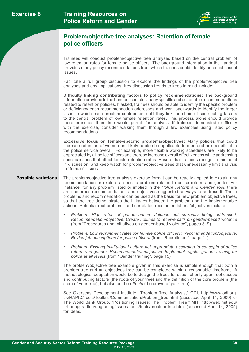

#### **Problem/objective tree analyses: Retention of female police officers**

Trainees will conduct problem/objective tree analyses based on the central problem of low retention rates for female police officers. The background information in the handout provides many policy recommendations from which trainees could identify potential casual issues.

Facilitate a full group discussion to explore the findings of the problem/objective tree analyses and any implications. Key discussion trends to keep in mind include:

**Difficulty linking contributing factors to policy recommendations:** The background information provided in the handout contains many specific and actionable recommendations related to retention policies. If asked, trainees should be able to identify the specific problem or deficiency each recommendation addresses and work backwards to identify the larger issue to which each problem contributes, until they link the chain of contributing factors to the central problem of low female retention rates. This process alone should provide more branches than time would permit for analysis; if trainees demonstrate difficulty with the exercise, consider walking them through a few examples using listed policy recommendations.

**Excessive focus on female-specific problems/objectives:** Many policies that could increase retention of women are likely to also be applicable to men and are beneficial to the police service overall. For example, more flexible working schedules are likely to be appreciated by all police officers and thereby increase overall effectiveness while addressing specific issues that affect female retention rates. Ensure that trainees recognise this point in discussion, and keep watch for problem/objective trees that unnecessarily limit analysis to "female" issues.

#### **Possible variations**

The problem/objective tree analysis exercise format can be readily applied to explain any recommendation or explore a specific problem related to police reform and gender. For instance, for any problem listed or implied in the *Police Reform and Gender Tool*, there are numerous recommendations and objectives suggested as ways to address it. These problems and recommendations can be used as the basis for new problem/objective trees, so that the tree demonstrates the linkages between the problem and the implementable actions. Potential root problems and correlated recommendations/objectives include:

- *• Problem: High rates of gender-based violence not currently being addressed; Recommendation/objective: Create hotlines to receive calls on gender-based violence*  (from "Procedures and initiatives on gender-based violence", pages 8–9)
- *• Problem: Low recruitment rates for female police officers; Recommendation/objective: Revise job descriptions for police officers* (from "Recruitment", page 11)
- *Problem: Existing institutional culture not appropriate according to concepts of police reform and gender; Recommendation/objective: Implement regular gender training for police at all levels* (from "Gender training", page 15)

The problem/objective tree example given in this exercise is simple enough that both a problem tree and an objectives tree can be completed within a reasonable timeframe. A methodological adaptation would be to design the trees to focus not only upon root causes and contributing factors (the roots of your tree) and the definition of the core problem (the stem of your tree), but also on the *effects* (the crown of your tree).

See Overseas Development Institute, "Problem Tree Analysis," ODI, [http://www.odi.org.](http://www.odi.org.uk/RAPID/Tools/Toolkits/Communication/Problem_tree.html) [uk/RAPID/Tools/Toolkits/Communication/Problem\\_tree.html](http://www.odi.org.uk/RAPID/Tools/Toolkits/Communication/Problem_tree.html) (accessed April 14, 2009) or The World Bank Group, "Positioning Issues: The Problem Tree," MIT, [http://web.mit.edu/](http://web.mit.edu/urbanupgrading/upgrading/issues-tools/tools/problem-tree.html) [urbanupgrading/upgrading/issues-tools/tools/problem-tree.html](http://web.mit.edu/urbanupgrading/upgrading/issues-tools/tools/problem-tree.html) (accessed April 14, 2009) for ideas.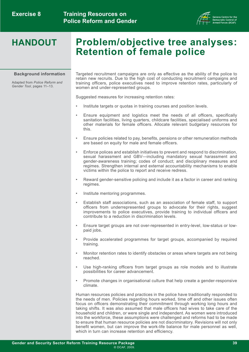

# **HANDOUT Problem/objective tree analyses: Retention of female police**

#### **Background information**

Adapted from *Police Reform and Gender Tool*, pages 11–13.

Targeted recruitment campaigns are only as effective as the ability of the police to retain new recruits. Due to the high cost of conducting recruitment campaigns and training officers, police executives need to improve retention rates, particularly of women and under-represented groups.

Suggested measures for increasing retention rates:

- Institute targets or quotas in training courses and position levels.
- Ensure equipment and logistics meet the needs of all officers, specifically sanitation facilities, living quarters, childcare facilities, specialised uniforms and other materials for female officers. Allocate relevant budgetary resources for this.
- Ensure policies related to pay, benefits, pensions or other remuneration methods are based on equity for male and female officers.
- Enforce polices and establish initiatives to prevent and respond to discrimination, sexual harassment and GBV—including mandatory sexual harassment and gender-awareness training; codes of conduct; and disciplinary measures and regimes. Strengthen internal and external accountability mechanisms to enable victims within the police to report and receive redress.
- Reward gender-sensitive policing and include it as a factor in career and ranking regimes.
- Institute mentoring programmes.
- Establish staff associations, such as an association of female staff, to support officers from underrepresented groups to advocate for their rights, suggest improvements to police executives, provide training to individual officers and contribute to a reduction in discrimination levels.
- Ensure target groups are not over-represented in entry-level, low-status or lowpaid jobs.
- Provide accelerated programmes for target groups, accompanied by required training.
- Monitor retention rates to identify obstacles or areas where targets are not being reached.
- Use high-ranking officers from target groups as role models and to illustrate possibilities for career advancement.
- Promote changes in organisational culture that help create a gender-responsive climate.

Human resources policies and practices in the police have traditionally responded to the needs of men. Policies regarding hours worked, time off and other issues often focus on officers demonstrating their commitment through working long hours and taking shifts. It was also assumed that male officers had wives to take care of the household and children, or were single and independent. As women were introduced into the workforce, these assumptions were challenged and reforms had to be made to ensure that human resource policies are not discriminatory. Revisions will not only benefit women, but can improve the work-life balance for male personnel as well, which in turn can increase retention and efficiency.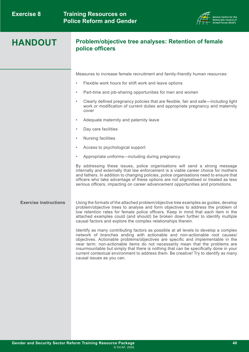

#### **Problem/objective tree analyses: Retention of female police officers**

Measures to increase female recruitment and family-friendly human resources:

- Flexible work hours for shift work and leave options
- Part-time and job-sharing opportunities for men and women
- Clearly defined pregnancy policies that are flexible, fair and safe—including light work or modification of current duties and appropriate pregnancy and maternity cover
- Adequate maternity and paternity leave
- Day care facilities
- Nursing facilities
- Access to psychological support
- Appropriate uniforms—including during pregnancy

By addressing these issues, police organisations will send a strong message internally and externally that law enforcement is a viable career choice for mothers and fathers. In addition to changing policies, police organisations need to ensure that officers who take advantage of these options are not stigmatised or treated as less serious officers, impacting on career advancement opportunities and promotions.

#### **Exercise instructions** Using the formats of the attached problem/objective tree examples as guides, develop problem/objective trees to analyse and form objectives to address the problem of low retention rates for female police officers. Keep in mind that each item in the attached examples could (and should) be broken down further to identify multiple causal factors and explore the complex relationships therein.

Identify as many contributing factors as possible at all levels to develop a complex network of branches ending with actionable and non-actionable root causes/ objectives. Actionable problems/objectives are specific and implementable in the near term; non-actionable items do not necessarily mean that the problems are insurmountable but simply that there is nothing that can be specifically done in your current contextual environment to address them. Be creative! Try to identify as many causal issues as you can.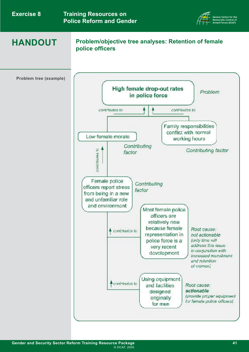| <b>Exercise 8</b> |
|-------------------|
|-------------------|



# **HANDOUT**

#### **Problem/objective tree analyses: Retention of female police officers**

**Problem tree (example)**

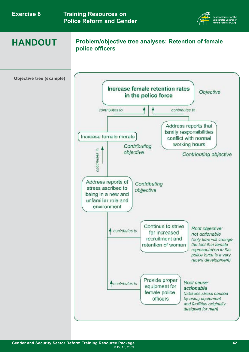|  | <b>Exercise 8</b> |  |
|--|-------------------|--|
|--|-------------------|--|



# **HANDOUT**

#### **Problem/objective tree analyses: Retention of female police officers**

**Objective tree (example)**

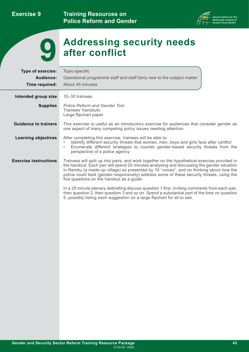**Exercise 9**

**Training Resources on Police Reform and Gender** 





# **Addressing security needs 9 after conflict**

| Type of exercise:<br>Audience:<br>Time required: | Topic-specific<br>Operational programme staff and staff fairly new to the subject matter<br>About 45 minutes                                                                                                                                                                                                                                                                                                                     |  |
|--------------------------------------------------|----------------------------------------------------------------------------------------------------------------------------------------------------------------------------------------------------------------------------------------------------------------------------------------------------------------------------------------------------------------------------------------------------------------------------------|--|
| Intended group size                              | 10-30 trainees                                                                                                                                                                                                                                                                                                                                                                                                                   |  |
| <b>Supplies</b>                                  | <b>Police Reform and Gender Tool</b><br>Trainees' handouts<br>Large flipchart paper                                                                                                                                                                                                                                                                                                                                              |  |
| <b>Guidance to trainers</b>                      | This exercise is useful as an introductory exercise for audiences that consider gender as<br>one aspect of many competing policy issues needing attention.                                                                                                                                                                                                                                                                       |  |
| <b>Learning objectives</b>                       | After completing this exercise, trainees will be able to:<br>Identify different security threats that women, men, boys and girls face after conflict<br>$\bullet$<br>Enumerate different strategies to counter gender-based security threats from the<br>$\bullet$<br>perspective of a police agency                                                                                                                             |  |
| <b>Exercise instructions</b>                     | Trainees will split up into pairs, and work together on the hypothetical exercise provided in<br>the handout. Each pair will spend 20 minutes analysing and discussing the gender situation<br>in Rembu (a made-up village) as presented by 10 "voices", and on thinking about how the<br>police could best (gender-responsively) address some of these security threats, using the<br>five questions on the handout as a guide. |  |
|                                                  | In a 25 minute plenary debriefing discuss question 1 first, inviting comments from each pair,<br>then question 2, then question 3 and so on. Spend a substantial part of the time on question<br>5, possibly listing each suggestion on a large flipchart for all to see.                                                                                                                                                        |  |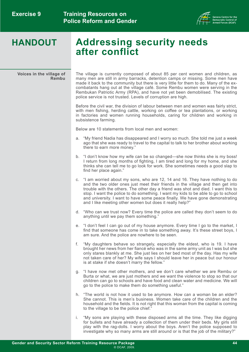

# **HANDOUT Addressing security needs after conflict**

**Voices in the village of Rembu** The village is currently composed of about 85 per cent women and children, as many men are still in army barracks, detention camps or missing. Some men have made it back to the community but there is very little for them to do. Many of the excombatants hang out at the village café. Some Rembu women were serving in the Rembukan Patriotic Army (RPA), and have not yet been demobilised. The existing police service is not trusted. Levels of corruption are high.

Before the civil war, the division of labour between men and women was fairly strict, with men fishing, herding cattle, working on coffee or tea plantations, or working in factories and women running households, caring for children and working in subsistence farming.

Below are 10 statements from local men and women:

- a. "My friend Nadia has disappeared and I worry so much. She told me just a week ago that she was ready to travel to the capital to talk to her brother about working there to earn more money."
- b. "I don't know how my wife can be so changed—she now thinks she is my boss! I return from long months of fighting, I am tired and long for my home, and she thinks she can tell me to go look for work. She sometimes needs a good slap to find her place again."
- c. "I am worried about my sons, who are 12, 14 and 16. They have nothing to do and the two older ones just meet their friends in the village and then get into trouble with the others. The other day a friend was shot and died. I want this to stop. I want the police to do something. I want my kids to be able to go to school and university. I want to have some peace finally. We have gone demonstrating and I like meeting other women but does it really help?"
- d. "Who can we trust now? Every time the police are called they don't seem to do anything until we pay them something."
- e. "I don't feel I can go out of my house anymore. Every time I go to the market, I find that someone has come in to take something away. It's these street boys, I am sure. And the police are nowhere to be seen.
- f. "My daughters behave so strangely, especially the eldest, who is 19. I have brought her news from her fiancé who was in the same army unit as I was but she only stares blankly at me. She just lies on her bed most of the day. Has my wife not taken care of her? My wife says I should leave her in peace but our honour is at stake if she doesn't marry the fellow."
- g. "I have now met other mothers, and we don't care whether we are Rembu or Burta or what, we are just mothers and we want the violence to stop so that our children can go to schools and have food and clean water and medicine. We will go to the police to make them do something useful."
- h. "The world is not how it used to be anymore. How can a woman be an elder? She cannot. This is men's business. Women take care of the children and the household and the fields. It is not right that this woman from the capital is coming to the village to be the police chief."
- i. "My sons are playing with these disposed arms all the time. They like digging for bullets and have already a collection of them under their beds. My girls still play with the rag-dolls. I worry about the boys. Aren't the police supposed to investigate why so many arms are still around or is that the job of the military?"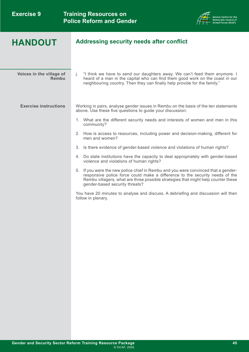

## **HANDOUT Addressing security needs after conflict**

| Voices in the village of<br>Rembu | "I think we have to send our daughters away. We can't feed them anymore. I<br>Ť.<br>heard of a man in the capital who can find them good work on the coast in our<br>neighbouring country. Then they can finally help provide for the family."                                            |
|-----------------------------------|-------------------------------------------------------------------------------------------------------------------------------------------------------------------------------------------------------------------------------------------------------------------------------------------|
| <b>Exercise instructions</b>      | Working in pairs, analyse gender issues in Rembu on the basis of the ten statements<br>above. Use these five questions to guide your discussion:                                                                                                                                          |
|                                   | 1. What are the different security needs and interests of women and men in this<br>community?                                                                                                                                                                                             |
|                                   | 2. How is access to resources, including power and decision-making, different for<br>men and women?                                                                                                                                                                                       |
|                                   | 3.<br>Is there evidence of gender-based violence and violations of human rights?                                                                                                                                                                                                          |
|                                   | 4. Do state institutions have the capacity to deal appropriately with gender-based<br>violence and violations of human rights?                                                                                                                                                            |
|                                   | 5. If you were the new police chief in Rembu and you were convinced that a gender-<br>responsive police force could make a difference to the security needs of the<br>Rembu villagers, what are three possible strategies that might help counter these<br>gender-based security threats? |
|                                   | You have 20 minutes to analyse and discuss. A debriefing and discussion will then<br>follow in plenary.                                                                                                                                                                                   |
|                                   |                                                                                                                                                                                                                                                                                           |
|                                   |                                                                                                                                                                                                                                                                                           |
|                                   |                                                                                                                                                                                                                                                                                           |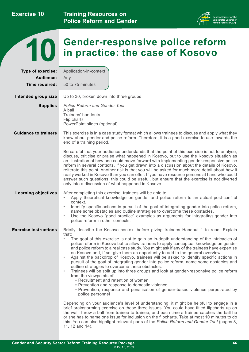**Exercise 10**

**Training Resources on Police Reform and Gender** 





# **TO** Gender-responsive police reform<br>
10 in practice: the case of Kosovo

| Type of exercise:            | Application-in-context                                                                                                                                                                                                                                                                                                                                                                                                                                                                                                                                                                                                                                                                                                                                                                                                                                                                                                                                                                                                                                                                                                                                                                                                                                                                                                                                                                                                                                        |
|------------------------------|---------------------------------------------------------------------------------------------------------------------------------------------------------------------------------------------------------------------------------------------------------------------------------------------------------------------------------------------------------------------------------------------------------------------------------------------------------------------------------------------------------------------------------------------------------------------------------------------------------------------------------------------------------------------------------------------------------------------------------------------------------------------------------------------------------------------------------------------------------------------------------------------------------------------------------------------------------------------------------------------------------------------------------------------------------------------------------------------------------------------------------------------------------------------------------------------------------------------------------------------------------------------------------------------------------------------------------------------------------------------------------------------------------------------------------------------------------------|
| Audience:                    | Any                                                                                                                                                                                                                                                                                                                                                                                                                                                                                                                                                                                                                                                                                                                                                                                                                                                                                                                                                                                                                                                                                                                                                                                                                                                                                                                                                                                                                                                           |
| Time required:               | 50 to 75 minutes                                                                                                                                                                                                                                                                                                                                                                                                                                                                                                                                                                                                                                                                                                                                                                                                                                                                                                                                                                                                                                                                                                                                                                                                                                                                                                                                                                                                                                              |
| Intended group size          | Up to 30, broken down into three groups                                                                                                                                                                                                                                                                                                                                                                                                                                                                                                                                                                                                                                                                                                                                                                                                                                                                                                                                                                                                                                                                                                                                                                                                                                                                                                                                                                                                                       |
| <b>Supplies</b>              | <b>Police Reform and Gender Tool</b>                                                                                                                                                                                                                                                                                                                                                                                                                                                                                                                                                                                                                                                                                                                                                                                                                                                                                                                                                                                                                                                                                                                                                                                                                                                                                                                                                                                                                          |
|                              | A ball<br>Trainees' handouts<br>Flip charts<br>PowerPoint slides (optional)                                                                                                                                                                                                                                                                                                                                                                                                                                                                                                                                                                                                                                                                                                                                                                                                                                                                                                                                                                                                                                                                                                                                                                                                                                                                                                                                                                                   |
| <b>Guidance to trainers</b>  | This exercise is in a case study format which allows trainees to discuss and apply what they<br>know about gender and police reform. Therefore, it is a good exercise to use towards the<br>end of a training period.                                                                                                                                                                                                                                                                                                                                                                                                                                                                                                                                                                                                                                                                                                                                                                                                                                                                                                                                                                                                                                                                                                                                                                                                                                         |
|                              | Be careful that your audience understands that the point of this exercise is not to analyse,<br>discuss, criticise or praise what happened in Kosovo, but to use the Kosovo situation as<br>an illustration of how one could move forward with implementing gender-responsive police<br>reform in several contexts. If you get drawn into a discussion about the details of Kosovo,<br>reiterate this point. Another risk is that you will be asked for much more detail about how it<br>really worked in Kosovo than you can offer. If you have resource persons at hand who could<br>answer such questions, this could be useful, but ensure that the exercise is not diverted<br>only into a discussion of what happened in Kosovo.                                                                                                                                                                                                                                                                                                                                                                                                                                                                                                                                                                                                                                                                                                                        |
| <b>Learning objectives</b>   | After completing this exercise, trainees will be able to:<br>Apply theoretical knowledge on gender and police reform to an actual post-conflict<br>$\bullet$<br>context.<br>Identify specific actions in pursuit of the goal of integrating gender into police reform,<br>$\bullet$<br>name some obstacles and outline strategies to overcome these obstacles.<br>Use the Kosovo "good practice" examples as arguments for integrating gender into<br>$\bullet$<br>police reform in other contexts.                                                                                                                                                                                                                                                                                                                                                                                                                                                                                                                                                                                                                                                                                                                                                                                                                                                                                                                                                           |
| <b>Exercise instructions</b> | Briefly describe the Kosovo context before giving trainees Handout 1 to read. Explain<br>that:<br>The goal of this exercise is not to gain an in-depth understanding of the intricacies of<br>$\bullet$<br>police reform in Kosovo but to allow trainees to apply conceptual knowledge on gender<br>and police reform to a real case study. You might ask if any of the trainees have expertise<br>on Kosovo and, if so, give them an opportunity to add to the general overview.<br>Against the backdrop of Kosovo, trainees will be asked to identify specific actions in<br>pursuit of the goal of integrating gender into police reform, name some obstacles and<br>outline strategies to overcome these obstacles.<br>Trainees will be split up into three groups and look at gender-responsive police reform<br>$\bullet$<br>from the viewpoints of:<br>• Recruitment and retention of women<br><sup>o</sup> Prevention and response to domestic violence<br>· Prevention, response and penalisation of gender-based violence perpetrated by<br>police personnel<br>Depending on your audience's level of understanding, it might be helpful to engage in a<br>brief brainstorming exercise on these three issues. You could have titled flipcharts up on<br>the wall, throw a ball from trainee to trainee, and each time a trainee catches the ball he<br>or she has to name one issue for inclusion on the flipcharts. Take at most 10 minutes to do |
|                              | this. You can also highlight relevant parts of the Police Reform and Gender Tool (pages 8,<br>11, 12 and 14).                                                                                                                                                                                                                                                                                                                                                                                                                                                                                                                                                                                                                                                                                                                                                                                                                                                                                                                                                                                                                                                                                                                                                                                                                                                                                                                                                 |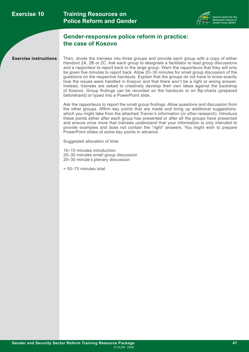

#### **Gender-responsive police reform in practice: the case of Kosovo**

**Exercise instructions** Then, divide the trainees into three groups and provide each group with a copy of either Handout 2A, 2B or 2C. Ask each group to designate a facilitator to lead group discussions and a rapporteur to report back to the large group. Warn the rapporteurs that they will only be given five minutes to report back. Allow 20–30 minutes for small group discussion of the guestions on the respective handouts. Explain that the groups do not have to know exactly how the issues were handled in Kosovo and that there won't be a right or wrong answer. Instead, trainees are asked to creatively develop their own ideas against the backdrop of Kosovo. Group findings can be recorded on the handouts or on flip-charts (prepared beforehand) or typed into a PowerPoint slide.

> Ask the rapporteurs to report the small group findings. Allow questions and discussion from the other groups. Affirm key points that are made and bring up additional suggestions, which you might take from the attached *Trainer's information* (or other research). Introduce these points either after each group has presented or after all the groups have presented and ensure once more that trainees understand that your information is only intended to provide examples and does not contain the "right" answers. You might wish to prepare PowerPoint slides of some key points in advance.

Suggested allocation of time:

10–15 minutes introduction 20–30 minutes small group discussion 20–30 minute's plenary discussion

= 50–75 minutes total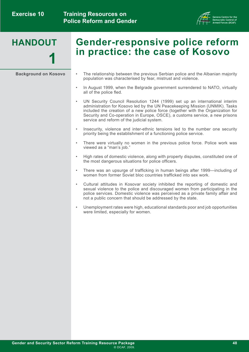

- **Gender-responsive police reform in practice: the case of Kosovo**
- **Background on Kosovo** The relationship between the previous Serbian police and the Albanian majority population was characterised by fear, mistrust and violence.
	- In August 1999, when the Belgrade government surrendered to NATO, virtually all of the police fled.
	- UN Security Council Resolution 1244 (1999) set up an international interim administration for Kosovo led by the UN Peacekeeping Mission (UNMIK). Tasks included the creation of a new police force (together with the Organization for Security and Co-operation in Europe, OSCE), a customs service, a new prisons service and reform of the judicial system.
	- Insecurity, violence and inter-ethnic tensions led to the number one security priority being the establishment of a functioning police service.
	- There were virtually no women in the previous police force. Police work was viewed as a "man's job."
	- High rates of domestic violence, along with property disputes, constituted one of the most dangerous situations for police officers.
	- There was an upsurge of trafficking in human beings after 1999—including of women from former Soviet bloc countries trafficked into sex work.
	- Cultural attitudes in Kosovar society inhibited the reporting of domestic and sexual violence to the police and discouraged women from participating in the police services. Domestic violence was perceived as a private family affair and not a public concern that should be addressed by the state.
	- Unemployment rates were high, educational standards poor and job opportunities were limited, especially for women.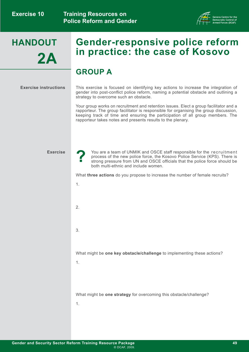

# **HANDOUT 2A**

# **Gender-responsive police reform in practice: the case of Kosovo**

## **GROUP A**

#### **Exercise instructions**

This exercise is focused on identifying key actions to increase the integration of gender into post-conflict police reform, naming a potential obstacle and outlining a strategy to overcome such an obstacle.

Your group works on recruitment and retention issues. Elect a group facilitator and a rapporteur. The group facilitator is responsible for organising the group discussion, keeping track of time and ensuring the participation of all group members. The rapporteur takes notes and presents results to the plenary.

#### **Exercise**

**?**

You are a team of UNMIK and OSCE staff responsible for the recruitment process of the new police force, the Kosovo Police Service (KPS). There is strong pressure from UN and OSCE officials that the police force should be both multi-ethnic and include women.

What **three actions** do you propose to increase the number of female recruits?

1. 2. 3. What might be **one key obstacle/challenge** to implementing these actions? 1. What might be **one strategy** for overcoming this obstacle/challenge? 1.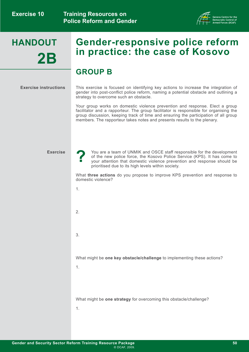

# **HANDOUT 2B**

# **Gender-responsive police reform in practice: the case of Kosovo**

### **GROUP B**

#### **Exercise instructions**

This exercise is focused on identifying key actions to increase the integration of gender into post-conflict police reform, naming a potential obstacle and outlining a strategy to overcome such an obstacle.

Your group works on domestic violence prevention and response. Elect a group facilitator and a rapporteur. The group facilitator is responsible for organising the group discussion, keeping track of time and ensuring the participation of all group members. The rapporteur takes notes and presents results to the plenary.

#### **Exercise**

**?**

You are a team of UNMIK and OSCE staff responsible for the development of the new police force, the Kosovo Police Service (KPS). It has come to your attention that domestic violence prevention and response should be prioritised due to its high levels within society.

What **three actions** do you propose to improve KPS prevention and response to domestic violence?

- 1. 2. 3. What might be **one key obstacle/challenge** to implementing these actions? 1. What might be **one strategy** for overcoming this obstacle/challenge? 1.
- **Gender and Security Sector Reform Training Resource Package** © DCAF, 2009.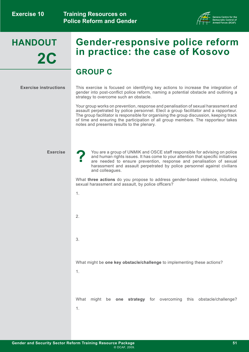

# **HANDOUT 2C**

# **Gender-responsive police reform in practice: the case of Kosovo**

## **GROUP C**

#### **Exercise instructions**

This exercise is focused on identifying key actions to increase the integration of gender into post-conflict police reform, naming a potential obstacle and outlining a strategy to overcome such an obstacle.

Your group works on prevention, response and penalisation of sexual harassment and assault perpetrated by police personnel. Elect a group facilitator and a rapporteur. The group facilitator is responsible for organising the group discussion, keeping track of time and ensuring the participation of all group members. The rapporteur takes notes and presents results to the plenary.

#### **Exercise**

You are a group of UNMIK and OSCE staff responsible for advising on police and human rights issues. It has come to your attention that specific initiatives are needed to ensure prevention, response and penalisation of sexual harassment and assault perpetrated by police personnel against civilians and colleagues.

What **three actions** do you propose to address gender-based violence, including sexual harassment and assault, by police officers?

1.

**?**

2.

3.

What might be **one key obstacle/challenge** to implementing these actions?

1.

What might be **one strategy** for overcoming this obstacle/challenge? 1.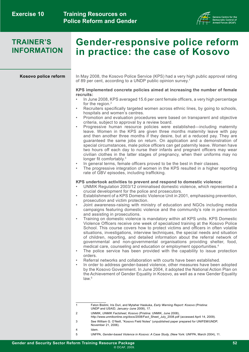

### **TRAINER'S INFORMATION**

# **Gender-responsive police reform in practice: the case of Kosovo**

#### **Kosovo police reform**

In May 2008, the Kosovo Police Service (KPS) had a very high public approval rating of 89 per cent, according to a UNDP public opinion survey.1

#### **KPS implemented concrete policies aimed at increasing the number of female recruits:**

- In June 2008, KPS averaged 15.6 per cent female officers, a very high percentage for the region.<sup>2</sup>
- Recruiters specifically targeted women across ethnic lines, by going to schools, hospitals and women's centres.
- Promotion and evaluation procedures were based on transparent and objective criteria, subject to approval by a review board.
- Progressive human resource policies were established—including maternity leave. Women in the KPS are given three months maternity leave with pay and then another three months if they desire, but at a reduced pay. They are guaranteed the same jobs on return. On application and a demonstration of special circumstances, male police officers can get paternity leave. Women have two hours off each day to nurse their infants and pregnant officers may wear civilian clothes in the latter stages of pregnancy, when their uniforms may no longer fit comfortably.<sup>3</sup>
- In general terms, female officers proved to be the best in their classes.
	- The progressive integration of women in the KPS resulted in a higher reporting rate of GBV episodes, including trafficking.

#### **KPS undertook activities to prevent and respond to domestic violence:**

- UNMIK Regulation 2003/12 criminalised domestic violence, which represented a crucial development for the police and prosecutors.
- Establishment of a KPS Domestic Violence Unit in 2001, emphasising prevention, prosecution and victim protection.
- Joint awareness-raising with ministry of education and NGOs including media campaigns featuring domestic violence and the community's role in prevention and assisting in prosecutions.
- Training on domestic violence is mandatory within all KPS units. KPS Domestic Violence Officers receive one week of specialized training at the Kosovo Police School. This course covers how to protect victims and officers in often volatile situations, investigations, interview techniques, the special needs and situation of children, reporting, and detailed information about the referral network of governmental and non-governmental organisations providing shelter, food, medical care, counseling and education or employment opportunities.4
- The police service has been provided with the capability to issue protection orders.
- Referral networks and collaboration with courts have been established.
- In order to address gender-based violence, other measures have been adopted by the Kosovo Government. In June 2004, it adopted the National Action Plan on the Achievement of Gender Equality in Kosovo, as well as a new Gender Equality law.5

- 2 UNMIK, *UNMIK Factsheet, Kosovo* (Pristina: UNMIK, June 2008),
	- [http://www.unmikonline.org/docs/2008/Fact\\_Sheet\\_July\\_2008.pdf](http://www.unmikonline.org/docs/2008/Fact_Sheet_July_2008.pdf) (accessed April 14, 2009).
- 3 See William G. O'Neill, "Kosovo Field Notes" (unpublished paper prepared for UNIFEM/UNDP, November 21, 2006).
- 4 Idem.
- 5 UNFPA, *Gender-based Violence in Kosovo: A Case Study,* (New York: UNFPA, March 2004), 11.

<sup>1</sup> Faton Bislimi, Iris Duri, and Mytaher Haskuka, *Early Warning Report: Kosovo* (Pristina: UNDP and USAID, January–June 2008), 17.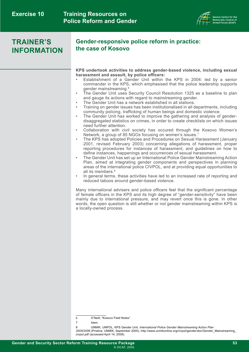

### **TRAINER'S INFORMATION**

#### **Gender-responsive police reform in practice: the case of Kosovo**

**KPS undertook activities to address gender-based violence, including sexual harassment and assault, by police officers:**

- Establishment of a Gender Unit within the KPS in 2004: led by a senior commander in the KPS, which emphasised that the police leadership supports gender mainstreaming.6
- The Gender Unit uses Security Council Resolution 1325 as a baseline to plan and gauge its actions with regard to mainstreaming gender.
- The Gender Unit has a network established in all stations.
- Training on gender issues has been institutionalised in all departments, including community policing, trafficking of human beings and domestic violence.
- The Gender Unit has worked to improve the gathering and analysis of genderdisaggregated statistics on crimes, in order to create checklists on which issues need further attention.
- Collaboration with civil society has occured through the Kosovo Women's Network, a group of 85 NGOs focusing on women's issues.7
- The KPS has adopted Policies and Procedures on Sexual Harassment (January 2001, revised February 2003) concerning allegations of harassment, proper reporting procedures for instances of harassment, and guidelines on how to define instances, happenings and occurrences of sexual harassment.
- The Gender Unit has set up an International Police Gender Mainstreaming Action Plan, aimed at integrating gender components and perspectives in planning areas of the international police CIVPOL, and at providing equal opportunities to all its members.<sup>8</sup>
- In general terms, these activities have led to an increased rate of reporting and reduced taboos around gender-based violence.

Many international advisers and police officers feel that the significant percentage of female officers in the KPS and its high degree of "gender-sensitivity" have been mainly due to international pressure, and may revert once this is gone. In other words, the open question is still whether or not gender mainstreaming within KPS is a locally-owned process.

*2005/2006* (Pristina: UNMIK, September 2005), [http://www.unmikonline.org/civpol/gender/doc/Gender\\_Mainstreaming\\_](http://www.unmikonline.org/civpol/gender/doc/Gender_Mainstreaming_civpol.pdf) [civpol.pdf](http://www.unmikonline.org/civpol/gender/doc/Gender_Mainstreaming_civpol.pdf) (accessed April 14, 2009).

<sup>6</sup> O'Neill, "Kosovo Field Notes".

<sup>7</sup> Idem.

<sup>8</sup> UNMIK, UNPOL, KPS Gender Unit. *International Police Gender Mainstreaming Action Plan*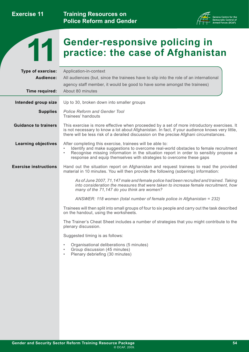**Exercise 11**

**Training Resources on Police Reform and Gender** 





# **Faction Conder-responsive policing in 11 <b>Conder-responsive policing in**  $\mathbf{f}$

| Type of exercise:<br>Audience:<br>Time required: | Application-in-context<br>All audiences (but, since the trainees have to slip into the role of an international<br>agency staff member, it would be good to have some amongst the trainees)<br>About 80 minutes                                                                                                                |
|--------------------------------------------------|--------------------------------------------------------------------------------------------------------------------------------------------------------------------------------------------------------------------------------------------------------------------------------------------------------------------------------|
|                                                  |                                                                                                                                                                                                                                                                                                                                |
| Intended group size                              | Up to 30, broken down into smaller groups                                                                                                                                                                                                                                                                                      |
| <b>Supplies</b>                                  | <b>Police Reform and Gender Tool</b><br>Trainees' handouts                                                                                                                                                                                                                                                                     |
| <b>Guidance to trainers</b>                      | This exercise is more effective when proceeded by a set of more introductory exercises. It<br>is not necessary to know a lot about Afghanistan. In fact, if your audience knows very little,<br>there will be less risk of a derailed discussion on the precise Afghani circumstances.                                         |
| <b>Learning objectives</b>                       | After completing this exercise, trainees will be able to:<br>Identify and make suggestions to overcome real-world obstacles to female recruitment<br>Recognise missing information in the situation report in order to sensibly propose a<br>$\bullet$<br>response and equip themselves with strategies to overcome these gaps |
| <b>Exercise instructions</b>                     | Hand out the situation report on Afghanistan and request trainees to read the provided<br>material in 10 minutes. You will then provide the following (sobering) information:                                                                                                                                                  |
|                                                  | As of June 2007, 71,147 male and female police had been recruited and trained. Taking<br>into consideration the measures that were taken to increase female recruitment, how<br>many of the 71,147 do you think are women?                                                                                                     |
|                                                  | ANSWER: 118 women (total number of female police in Afghanistan = 232)                                                                                                                                                                                                                                                         |
|                                                  | Trainees will then split into small groups of four to six people and carry out the task described<br>on the handout, using the worksheets.                                                                                                                                                                                     |
|                                                  | The Trainer's Cheat Sheet includes a number of strategies that you might contribute to the<br>plenary discussion.                                                                                                                                                                                                              |
|                                                  | Suggested timing is as follows:                                                                                                                                                                                                                                                                                                |
|                                                  | Organisational deliberations (5 minutes)<br>Group discussion (45 minutes)<br>$\bullet$<br>Plenary debriefing (30 minutes)<br>$\bullet$                                                                                                                                                                                         |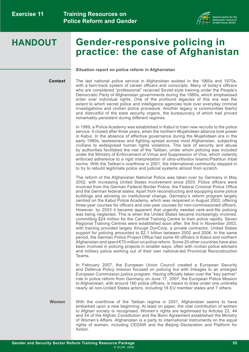

# **Gender-responsive policing in practice: the case of Afghanistan**

#### **Situation report on police reform in Afghanistan**

**Context**

The last national police service in Afghanistan existed in the 1960s and 1970s, with a twin-track system of career officers and conscripts. Many of today's officers who are considered "professional" received Soviet-style training under the People's Democratic Party of Afghanistan governments during the 1980s, which emphasised order over individual rights. One of the profound legacies of this era was the extent to which secret police and intelligence agencies took over everyday criminal investigations and civilian police procedure. Another legacy is communities fearful and distrustful of the state security organs, the bureaucracy of which had proved remarkably persistent during different regimes.

In 1989, a Police Academy was established in Kabul to train new recruits to the police service. It closed after three years, when the northern Mujahideen alliance took power in Kabul. In the absence of effective governance during the Mujahideen era in the early 1990s, lawlessness and fighting spread across most Afghanistan, subjecting civilians to widespread human rights violations. This lack of security and abuse by authorities facilitated the rise of the Taliban, under whom policing was included under the Ministry of Enforcement of Virtue and Suppression of Vice, which violently enforced adherence to a rigid interpretation of ultra-orthodox Islamic/Pashtun tribal norms. With the Taliban's overthrow in 2001, the international community stepped in to try to rebuild legitimate police and judicial systems almost from scratch.

The reform of the Afghanistan National Police was taken over by Germany in May 2002, with increasing United States involvement since 2003. Police officers were involved from the German Federal Border Police, the Federal Criminal Police Office and the German federal states. Apart from reconstructing and equipping some police buildings and advising on institutional change, Germany's reform program largely centred on the Kabul Police Academy, which was reopened in August 2002, offering three-year courses for officers and one-year courses for non-commissioned officers. However, by 2003 it became apparent that urgently needed rank-and-file policing was being neglected. This is when the United States became increasingly involved, committing \$24 million for the Central Training Centre to train police rapidly. Seven Regional Training Centres were established soon after, the first in November 2003, with training provided largely through DynCorp, a private contractor. United States support for policing amounted to \$2.1 billion between 2002 and 2006. In the same period, the German Police Project Office had some 40 officers in Kabul and northern Afghanistan and spent €70 million on police reform. Some 20 other countries have also been involved in policing projects in smaller ways, often with civilian police advisers and military police working out of their own national-led Provincial Reconstruction Teams.

In February 2007, the European Union Council created a European Security and Defence Policy mission focused on policing but with linkages to an enlarged European Commission justice program. Having officially taken over the "key partner" role in police reform from Germany on June 17, 2007, the European Police Mission to Afghanistan, with around 160 police officers, is meant to draw under one umbrella nearly all non-United States actors, including 16 EU member states and 7 others.

With the overthrow of the Taliban regime in 2001, Afghanistan seems to have embarked upon a new beginning. At least on paper, the vital contribution of women to Afghan society is recognised. Women's rights are legitimised by Articles 22, 44 and 54 of the Afghan Constitution and the Bonn Agreement established the Ministry of Women's Affairs. Afghanistan is a party to international instruments on the equal rights of women, including CEDAW and the Beijing Declaration and Platform for Action. **Women**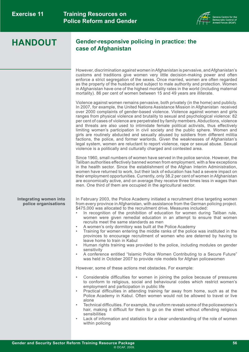

#### **Gender-responsive policing in practice: the case of Afghanistan**

However, discrimination against women in Afghanistan is pervasive, and Afghanistan's customs and traditions give women very little decision-making power and often enforce a strict segregation of the sexes. Once married, women are often regarded as the property of the husband and subject to male authority and protection. Women in Afghanistan have one of the highest mortality rates in the world (including maternal mortality). 86 per cent of women between 15 and 49 years are illiterate.

Violence against women remains pervasive, both privately (in the home) and publicly. In 2007, for example, the United Nations Assistance Mission in Afghanistan received over 2000 complaints of gender-based violence. Violence against women and girls ranges from physical violence and brutality to sexual and psychological violence: 82 per cent of cases of violence are perpetrated by family members. Abductions, violence and threats are also used to intimidate female political activists, thus effectively limiting women's participation in civil society and the public sphere. Women and girls are routinely abducted and sexually abused by soldiers from different militia factions, the police, and former warlords. Given the weaknesses of Afghanistan's legal system, women are reluctant to report violence, rape or sexual abuse. Sexual violence is a politically and culturally charged and contested area.

Since 1960, small numbers of women have served in the police service. However, the Taliban authorities effectively banned women from employment, with a few exceptions in the health sector. Since the establishment of the Afghan Interim Administration, women have returned to work, but their lack of education has had a severe impact on their employment opportunities. Currently, only 38.2 per cent of women in Afghanistan are economically active, and on average they receive three times less in wages than men. One third of them are occupied in the agricultural sector.

#### **Integrating women into police organisations**

In February 2003, the Police Academy initiated a recruitment drive targeting women from every province in Afghanistan, with assistance from the German policing project. \$475,000 was allocated to the recruitment drive. Measures included:

- In recognition of the prohibition of education for women during Taliban rule, women were given remedial education in an attempt to ensure that women recruits meet the same standards as men
- A women's only dormitory was built at the Police Academy
- Training for women entering the middle ranks of the police was instituted in the provinces to encourage recruitment of women who are deterred by having to leave home to train in Kabul
- Human rights training was provided to the police, including modules on gender sensitivity
- A conference entitled "Islamic Police Women Contributing to a Secure Future" was held in October 2007 to provide role models for Afghan policewomen

However, some of these actions met obstacles. For example:

- Considerable difficulties for women in joining the police because of pressures to conform to religious, social and behavioural codes which restrict women's employment and participation in public life
- Practical difficulties in attending training far away from home, such as at the Police Academy in Kabul. Often women would not be allowed to travel or live alone
- Technical difficulties. For example, the uniform reveals some of the policewomen's hair, making it difficult for them to go on the street without offending religious sensibilities
- Lack of information and statistics for a clear understanding of the role of women within policing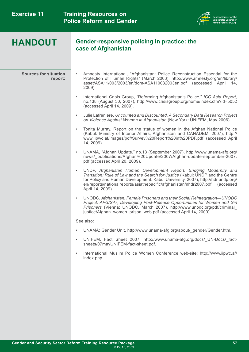

#### **Gender-responsive policing in practice: the case of Afghanistan**

**Sources for situation report:**

- Amnesty International, "Afghanistan: Police Reconstruction Essential for the Protection of Human Rights" (March 2003), [http://www.amnesty.org/en/library/](http://www.amnesty.org/en/library/asset/ASA11/003/2003/en/dom-ASA110032003en.pdf) [asset/ASA11/003/2003/en/dom-ASA110032003en.pdf](http://www.amnesty.org/en/library/asset/ASA11/003/2003/en/dom-ASA110032003en.pdf) (accessed April 14, 2009).
	- International Crisis Group, "Reforming Afghanistan's Police," *ICG Asia Report,*  no.138 (August 30, 2007), <http://www.crisisgroup.org/home/index.cfm?id=5052> (accessed April 14, 2009).
	- Julie Lafreniere, *Uncounted and Discounted. A Secondary Data Research Project on Violence Against Women in Afghanistan* (New York: UNIFEM, May 2006).
- Tonita Murray, Report on the status of women in the Afghan National Police (Kabul: Ministry of Interior Affairs, Afghanistan and CANADEM, 2007), [http://](http://www.iipwc.af/images/pdf/Survey%20Report%20in%20PDF.pdf) [www.iipwc.af/images/pdf/Survey%20Report%20in%20PDF.pdf](http://www.iipwc.af/images/pdf/Survey%20Report%20in%20PDF.pdf) (accessed April 14, 2009).
- UNAMA, "Afghan Update," no.13 (September 2007), [http://www.unama-afg.org/](http://www.unama-afg.org/news/_publications/Afghan%20Update/2007/Afghan-update-september-2007.pdf) [news/\\_publications/Afghan%20Update/2007/Afghan-update-september-2007.](http://www.unama-afg.org/news/_publications/Afghan%20Update/2007/Afghan-update-september-2007.pdf) [pdf](http://www.unama-afg.org/news/_publications/Afghan%20Update/2007/Afghan-update-september-2007.pdf) (accessed April 20, 2009).
- UNDP, *Afghanistan Human Development Report. Bridging Modernity and Transition: Rule of Law and the Search for Justice* (Kabul: UNDP and the Centre for Policy and Human Development. Kabul University, 2007), [http://hdr.undp.org/](http://hdr.undp.org/en/reports/nationalreports/asiathepacific/afghanistan/nhdr2007.pdf) [en/reports/nationalreports/asiathepacific/afghanistan/nhdr2007.pdf](http://hdr.undp.org/en/reports/nationalreports/asiathepacific/afghanistan/nhdr2007.pdf) (accessed April 14, 2009).
- UNODC, *Afghanistan: Female Prisoners and their Social Reintegration—UNODC Project: AFG/S47, Developing Post-Release Opportunities for Women and Girl Prisoners* (Vienna: UNODC, March 2007), [http://www.unodc.org/pdf/criminal\\_](http://www.unodc.org/pdf/criminal_justice/Afghan_women_prison_web.pdf) [justice/Afghan\\_women\\_prison\\_web.pdf](http://www.unodc.org/pdf/criminal_justice/Afghan_women_prison_web.pdf) (accessed April 14, 2009).

See also:

- UNAMA: Gender Unit. [http://www.unama-afg.org/about/\\_gender/Gender.htm.](http://www.unama-afg.org/about/_gender/Gender.htm)
- UNIFEM, Fact Sheet 2007. [http://www.unama-afg.org/docs/\\_UN-Docs/\\_fact](http://www.unama-afg.org/docs/_UN-Docs/_fact-sheets/07mayUNIFEM-fact-sheet.pdf)[sheets/07mayUNIFEM-fact-sheet.pdf.](http://www.unama-afg.org/docs/_UN-Docs/_fact-sheets/07mayUNIFEM-fact-sheet.pdf)
- International Muslim Police Women Conference web-site: [http://www.iipwc.af/](http://www.iipwc.af/index.php) [index.php.](http://www.iipwc.af/index.php)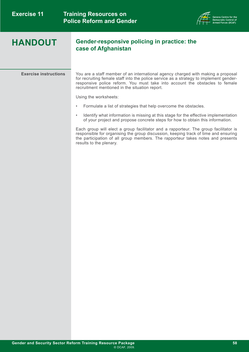

#### **Gender-responsive policing in practice: the case of Afghanistan**

**Exercise instructions** You are a staff member of an international agency charged with making a proposal for recruiting female staff into the police service as a strategy to implement genderresponsive police reform. You must take into account the obstacles to female recruitment mentioned in the situation report.

Using the worksheets:

- Formulate a list of strategies that help overcome the obstacles.
- Identify what information is missing at this stage for the effective implementation of your project and propose concrete steps for how to obtain this information.

Each group will elect a group facilitator and a rapporteur. The group facilitator is responsible for organising the group discussion, keeping track of time and ensuring the participation of all group members. The rapporteur takes notes and presents results to the plenary.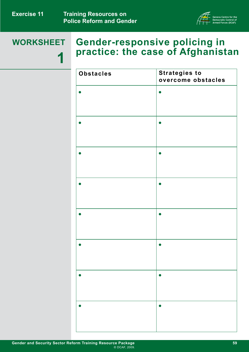

# **WORKSHEET 1**

# **Gender-responsive policing in practice: the case of Afghanistan**

| <b>Obstacles</b> | <b>Strategies to</b><br>overcome obstacles |
|------------------|--------------------------------------------|
|                  |                                            |
|                  |                                            |
|                  |                                            |
|                  | $\bullet$                                  |
|                  | $\bullet$                                  |
|                  |                                            |
|                  |                                            |
|                  |                                            |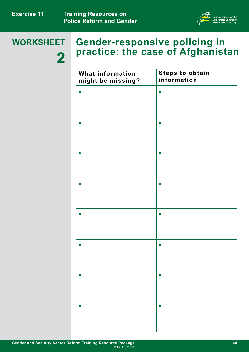

# **WORKSHEET 2**

# **Gender-responsive policing in practice: the case of Afghanistan**

| What information<br>might be missing? | <b>Steps to obtain</b><br>information |
|---------------------------------------|---------------------------------------|
|                                       | O                                     |
|                                       |                                       |
|                                       |                                       |
|                                       |                                       |
|                                       |                                       |
|                                       |                                       |
|                                       |                                       |
|                                       |                                       |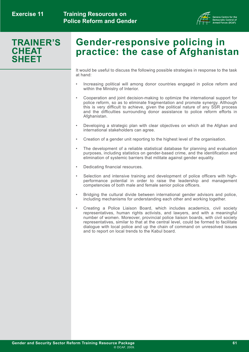

## **TRAINER'S CHEAT SHEET**

# **Gender-responsive policing in practice: the case of Afghanistan**

It would be useful to discuss the following possible strategies in response to the task at hand:

- Increasing political will among donor countries engaged in police reform and within the Ministry of Interior.
- Cooperation and joint decision-making to optimize the international support for police reform, so as to eliminate fragmentation and promote synergy. Although this is very difficult to achieve, given the political nature of any SSR process and the difficulties surrounding donor assistance to police reform efforts in Afghanistan.
- Developing a strategic plan with clear objectives on which all the Afghan and international stakeholders can agree.
- Creation of a gender unit reporting to the highest level of the organisation.
- The development of a reliable statistical database for planning and evaluation purposes, including statistics on gender-based crime, and the identification and elimination of systemic barriers that militate against gender equality.
- Dedicating financial resources.
- Selection and intensive training and development of police officers with highperformance potential in order to raise the leadership and management competencies of both male and female senior police officers.
- Bridging the cultural divide between international gender advisors and police, including mechanisms for understanding each other and working together.
- Creating a Police Liaison Board, which includes academics, civil society representatives, human rights activists, and lawyers, and with a meaningful number of women. Moreover, provincial police liaison boards, with civil society representatives, similar to that at the central level, could be formed to facilitate dialogue with local police and up the chain of command on unresolved issues and to report on local trends to the Kabul board.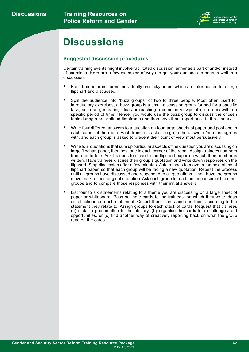

# **Discussions**

#### **Suggested discussion procedures**

Certain training events might involve facilitated discussion, either as a part of and/or instead of exercises. Here are a few examples of ways to get your audience to engage well in a discussion.

- Each trainee brainstorms individually on sticky notes, which are later posted to a large flipchart and discussed.
- Split the audience into "buzz groups" of two to three people. Most often used for introductory exercises, a buzz group is a small discussion group formed for a specific task, such as generating ideas or reaching a common viewpoint on a topic within a specific period of time. Hence, you would use the buzz group to discuss the chosen topic during a pre-defined timeframe and then have them report back to the plenary.
- Write four different answers to a question on four large sheets of paper and post one in each corner of the room. Each trainee is asked to go to the answer s/he most agrees with, and each group is asked to present their point of view most persuasively.
- Write four quotations that sum up particular aspects of the question you are discussing on large flipchart paper, then post one in each corner of the room. Assign trainees numbers from one to four. Ask trainees to move to the flipchart paper on which their number is written. Have trainees discuss their group's quotation and write down responses on the flipchart. Stop discussion after a few minutes. Ask trainees to move to the next piece of flipchart paper, so that each group will be facing a new quotation. Repeat the process until all groups have discussed and responded to all quotations—then have the groups move back to their original quotation. Ask each group to read the responses of the other groups and to compare those responses with their initial answers.
- List four to six statements relating to a theme you are discussing on a large sheet of paper or whiteboard. Pass out note cards to the trainees, on which they write ideas or reflections on each statement. Collect these cards and sort them according to the statement they relate to. Assign groups to each stack of cards. Request that trainees (a) make a presentation to the plenary, (b) organise the cards into challenges and opportunities, or (c) find another way of creatively reporting back on what the group read on the cards.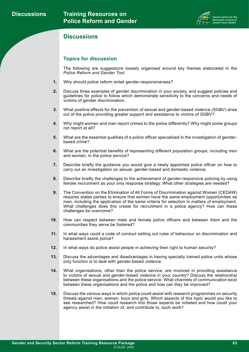

#### **Discussions**

#### **Topics for discussion**

The following are suggestions loosely organised around key themes elaborated in the *Police Reform and Gender Tool.*

- Why should police reform entail gender-responsiveness? **1.**
- Discuss three examples of gender discrimination in your society, and suggest policies and guidelines for police to follow which demonstrate sensitivity to the concerns and needs of victims of gender discrimination. **2.**
- What positive effects for the prevention of sexual and gender-based violence (SGBV) arise out of the police providing greater support and assistance to victims of SGBV? **3.**
- Why might women and men report crimes to the police differently? Why might some groups not report at all? **4.**
- What are the essential qualities of a police officer specialised in the investigation of genderbased crime? **5.**
- What are the potential benefits of representing different population groups, including men and women, in the police service? **6.**
- Describe briefly the guidance you would give a newly appointed police officer on how to carry out an investigation on sexual, gender-based and domestic violence. **7.**
- Describe briefly the challenges to the achievement of gender-responsive policing by using female recruitment as your only response strategy. What other strategies are needed? **8.**
- The Convention on the Elimination of All Forms of Discrimination against Women (CEDAW) requires states parties to ensure that women have the same employment opportunities as men, including the application of the same criteria for selection in matters of employment. What challenges does this create for recruitment in a police agency? How can these challenges be overcome? **9.**
- How can respect between male and female police officers and between them and the communities they serve be fostered? **10.**
- In what ways could a code of conduct setting out rules of behaviour on discrimination and harassment assist police? **11.**
- In what ways do police assist people in achieving their right to human security? **12.**
- Discuss the advantages and disadvantages in having specially trained police units whose only function is to deal with gender-based violence. **13.**
- What organisations, other than the police service, are involved in providing assistance to victims of sexual and gender-based violence in your country? Discuss the relationship between these organisations and the police service. What channels of communication exist between these organisations and the police and how can they be improved? **14.**
- Discuss the various ways in which police could assist with research programmes on security threats against men, women, boys and girls. Which aspects of this topic would you like to see researched? How could research into those aspects be initiated and how could your agency assist in the initiation of, and contribute to, such work? **15.**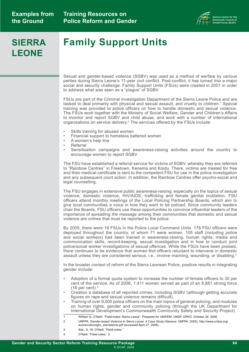

# **SIERRA LEONE**

# **Family Support Units**

Sexual and gender-based violence (SGBV) was used as a method of warfare by various parties during Sierra Leone's 11-year civil conflict. Post-conflict, it has turned into a major social and security challenge. Family Support Units (FSUs) were created in 2001 in order to address what was seen as a "plague" of SGBV.

FSUs are part of the Criminal Investigation Department of the Sierra Leone Police and are tasked to deal primarily with physical and sexual assault, and cruelty to children.1 Special training was provided to police officers on how to handle domestic and sexual violence. The FSUs work together with the Ministry of Social Welfare, Gender and Children's Affairs to monitor and report SGBV and child abuse, and work with a number of international organisations on service delivery.2 The services offered by the FSUs include:

- Skills training for abused women
- Financial support to homeless battered women
- A women's help line
- Referral
- Sensitisation campaigns and awareness-raising activities around the country to encourage women to report SGBV

The FSU have established a referral service for victims of SGBV, whereby they are referred to "Rainbow Centres" in Freetown, Kenema and Koidu. There, victims are treated for free and their medical certificate is sent to the competent FSU for use in the police investigation and any subsequent court action. In addition, the Rainbow Centres offer psycho-social and legal counselling.

The FSU engages in extensive public awareness-raising, especially on the topics of sexual violence, domestic violence, HIV/AIDS, trafficking and female genital mutilation. FSU officers attend monthly meetings of the Local Policing Partnership Boards, which aim to give local communities a voice in how they want to be policed. Since community leaders chair the Boards, FSU officers use these opportunities to convince influential leaders of the importance of spreading the message among their communities that domestic and sexual violence are crimes that must be reported to the police.

By 2005, there were 19 FSUs in the Police Local Command Units. 178 FSU officers were deployed throughout the country, of whom 71 were women. 105 staff (including police and social workers) had been trained in awareness-raising, human rights, media and communication skills, record-keeping, sexual investigation and in how to conduct joint police/social worker investigations of sexual offences. While the FSUs have been praised, there continues to be evidence that women find officers reluctant to intervene in domestic assault unless they are considered serious, i.e., involve maiming, wounding, or disabling.<sup>3</sup>

In the broader context of reform of the Sierra Leonean Police, positive results in integrating gender include:

- Adoption of a formal quota system to increase the number of female officers to 30 per cent of the service. As of 2006, 1,411 women served as part of an 8,881 strong force (16 per cent). $4$
- Creation a database of all reported crimes, including SGBV (although getting accurate figures on rape and sexual violence remains difficult).
- Training of over 9,000 police officers on the main topics of general policing, and modules on human rights, gender and community policing (through the UK Department for International Development's Commonwealth Community Safety and Security Project).
- 1 William G. O'Neill. "Field-notes: Sierra Leone". Prepared for UNIFEM, UNDP, DPKO. October 24, 2006.
- 2 UNFPA. *Gender-based Violence in Sierra Leone: A Case Study* (Geneva: UNFPA, 2005), [http://www.unfpa.org/](http://www.unfpa.org/women/docs/gbv_sierraleone.pdf)  [women/docs/gbv\\_sierraleone.pdf](http://www.unfpa.org/women/docs/gbv_sierraleone.pdf) (accessed April 27, 2009).
- 3 Ibid., 9, 18; O'Neill. "Field-notes."
- 4 O'Neill. "Field-notes," 2.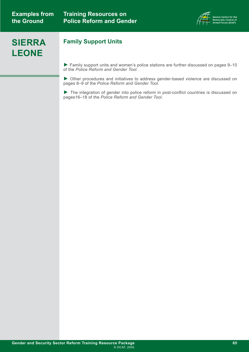

# **SIERRA LEONE**

### **Family Support Units**

► Family support units and women's police stations are further discussed on pages 9–10 of the *Police Reform and Gender Tool.* 

► Other procedures and initiatives to address gender-based violence are discussed on pages 8–9 of the *Police Reform and Gender Tool.*

► The integration of gender into police reform in post-conflict countries is discussed on pages16–18 of the *Police Reform and Gender Tool.*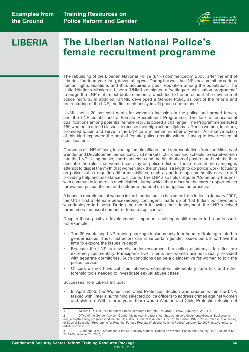

#### **The Liberian National Police's female recruitment programme LIBERIA**

The rebuilding of the Liberian National Police (LNP) commenced in 2005, after the end of Liberia's fourteen-year-long, devastating war. During the war, the LNP had committed serious human rights violations and thus acquired a poor reputation among the population. The United Nations Mission in Liberia (UNMIL) designed a "vetting/de-activisation programme" to purge the LNP of its most brutal elements, which led to the enrolment of a new crop of police recruits. In addition, UNMIL developed a Gender Policy as part of the reform and restructuring of the LNP, the first such policy in UN peace operations.<sup>1</sup>

UNMIL set a 20 per cent quota for women's inclusion in the police and armed forces, and the LNP established a Female Recruitment Programme. The lack of educational qualifications among potential female recruits posed a challenge. The Programme selected 150 women to attend classes to receive their high school diplomas. These women, in return, promised to join and serve in the LNP for a minimum number of years.2 Affirmative action of this kind expanded the pool of female police recruits without having to lower essential qualifications.

Caravans of LNP officers, including female officers, and representatives from the Ministry of Gender and Development periodically visit markets, churches and schools to recruit women into the LNP. Using music, short speeches and the distribution of posters and t-shirts, they describe the roles that women can play as police officers. These recruitment campaigns attempt to dispel the myth that women lack the physical strength to do police work, focusing on police duties requiring different abilities, such as performing community service and providing help and assistance to citizens. The LNP also holds regular "Community Forums" with community leaders in each district, during which they describe the career opportunities for women police officers and distribute material on the application process.

A boost to recruitment of women in the Liberian police has come from India. In January 2007, the UN's first all-female peacekeeping contingent, made up of 103 Indian policewomen, was deployed in Liberia. During the month following their deployment, the LNP received three times the usual number of female applicants.3

Despite these positive developments, important challenges still remain to be addressed. For example:

- The 29-week long LNP training package includes only four hours of training related to gender issues. Thus, instructors can raise certain gender issues but do not have the time to explore the issues in depth
- Because the LNP is severely under-resourced, the police academy's facilities are extremely rudimentary. Participants live in tents and women are not usually provided with separate dormitories. Such conditions can be a disincentive for women to join the police service
- Officers do not have vehicles, phones, computers, elementary rape kits and other forensic tools needed to investigate sexual abuse cases

Successes from Liberia include:

In April 2005, the Women and Child Protection Section was created within the LNP, tasked with, inter alia, training selected police officers to address crimes against women and children. Within three years there was a Women and Child Protection Section of

<sup>1</sup> William G. O'Neill, "Field-notes: Liberia" (prepared for UNIFEM, UNDP, DPKO, January 4, 2007), 4.

<sup>2</sup> Office of the Gender Advisor, Gender Mainstreaming fact sheet, [http://unmil.org/documents/Gender\\_Background\\_](http://unmil.org/documents/Gender_Background_and_mainstreaming.pdf) and mainstreaming.pdf (accessed October 1, 2009); O'Neill, "Field-notes: Liberia"; See also: UNMIL Press Release, "Launching of Special Education Programme for Potential Female Recruits of Liberia National Police," January 22, 2007, [http://unmil.org/](http://unmil.org/article.asp?id=1951) [article.asp?id=1951](http://unmil.org/article.asp?id=1951).

Guéhenno, J.M., "Statement to the UN Security Council, Debate on Women, Peace and Security," UN Document S/ PV.5766, October 23, 2007, 5.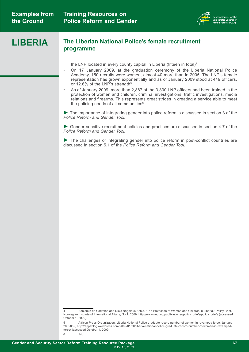

#### **LIBERIA The Liberian National Police's female recruitment programme**

the LNP located in every county capital in Liberia (fifteen in total)<sup>4</sup>

- On 17 January 2009, at the graduation ceremony of the Liberia National Police Academy, 150 recruits were women, almost 40 more than in 2005. The LNP's female representation has grown exponentially and as of January 2009 stood at 449 officers, or 12.6% of the LNP's strength<sup>5</sup>
- As of January 2009, more than 2,887 of the 3,800 LNP officers had been trained in the protection of women and children, criminal investigations, traffic investigations, media relations and firearms. This represents great strides in creating a service able to meet the policing needs of all communities<sup>6</sup>

► The importance of integrating gender into police reform is discussed in section 3 of the *[Police Reform and Gender Tool.](http://www.dcaf.ch/publications/kms/details.cfm?lng=en&id=47391&nav1=5)*

► Gender-sensitive recruitment policies and practices are discussed in section 4.7 of the *[Police Reform and Gender Tool.](http://www.dcaf.ch/publications/kms/details.cfm?lng=en&id=47391&nav1=5)*

► The challenges of integrating gender into police reform in post-conflict countries are discussed in section 5.1 of the *[Police Reform and Gender Tool.](http://www.dcaf.ch/publications/kms/details.cfm?lng=en&id=47391&nav1=5)*

6 Ibid.

<sup>4</sup> Benjamin de Carvalho and Niels Nagelhus Schia, "The Protection of Women and Children in Liberia," Policy Brief, Norwegian Institute of International Affairs, No.1, 2009, [http://www.nupi.no/publikasjoner/policy\\_briefs/policy\\_briefs](http://www.nupi.no/publikasjoner/policy_briefs/policy_briefs) (accessed October 1, 2009).

<sup>5</sup> African Press Organization, Liberia National Police graduate record number of women in revamped force, January 20, 2009, [http://appablog.wordpress.com/2009/01/20/liberia-national-police-graduate-record-number-of-women-in-revamped](http://appablog.wordpress.com/2009/01/20/liberia-national-police-graduate-record-number-of-women-in-revamped-force/ )[force/](http://appablog.wordpress.com/2009/01/20/liberia-national-police-graduate-record-number-of-women-in-revamped-force/ ) (accessed October 1, 2009).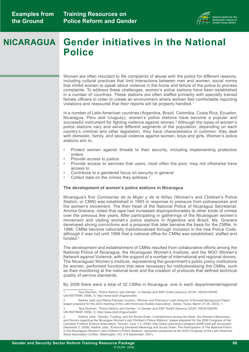

# **Gender initiatives in the National NICARAGUA Police**

Women are often reluctant to file complaints of abuse with the police for different reasons, including cultural practices that limit interactions between men and women, social norms that inhibit women to speak about violence in the home and failure of the police to process complaints. To address these challenges, women's police stations have been established in a number of countries. These stations are often staffed primarily with specially trained female officers in order to create an environment where women feel comfortable reporting violations and reassured that their reports will be properly handled.<sup>1</sup>

In a number of Latin American countries (Argentina, Brazil, Colombia, Costa Rica, Ecuador, Nicaragua, Peru and Uruguay), women's police stations have become a popular and successful instrument for fighting violence against women.<sup>2</sup> Although the types of women's police stations vary and serve different segments of the population, depending on each country's criminal and other legislation, they have characteristics in common: they deal with domestic, family, and sexual violence against women, boys and girls. Women's police stations aim to:

- Protect women against threats to their security, including implementing protection orders
- Provide access to justice
- Provide access to services that users, most often the poor, may not otherwise have access to
- Contribute to a gendered focus on security in general
- Collect data on the crimes they address.<sup>3</sup>

#### **The development of women's police stations in Nicaragua**

Nicaragua's first *Comisarías de la Mujer y de la Niñez* (Women's and Children's Police Station, or CMN) was established in 1993 in response to pressure from policewomen and the women's movement. The then head of the National Police of Nicaragua Secretariat, Aminta Granera, noted that rape had increased disproportionately to other kinds of crimes over the previous few years. After participating in gatherings of the Nicaraguan women's movement and visiting women's police stations in Argentina and Brazil, Ms. Granera developed strong convictions and a proposal that later became the basis for the CMNs. In 1996, CMNs become nationally institutionalised through inclusion in the new Police Code, although it was not until 1999 that a national office for CMNs was established, staffed and funded.4

The development and establishment of CMNs resulted from collaborative efforts among the National Police of Nicaragua, the Nicaraguan Women's Institute, and the NGO Women's Network against Violence, with the support of a number of international and regional donors. The Nicaraguan Women's Institute, representing the government's public policy institutions for women, performed functions that were necessary for institutionalising the CMNs, such as their monitoring at the national level and the creation of protocols that defined technical quality of service standards.

By 2008 there were a total of 32 CMNs in Nicaragua: one in each departmental/regional

3 Tara Denham, "Police Reform and Gender," in *Gender and SSR Toolkit* (Geneva: DCAF, OSCE/ODIHR, UN-INSTRAW, 2008), 9, [http://www.dcaf.ch/gssrtoolkit.](http://www.dcaf.ch/gssrtoolkit)

Tara Denham, "Police Reform and Gender," in Gender and SSR Toolkit (Geneva: DCAF, OSCE/ODIHR, UN-INSTRAW, 2008), 9, [http://www.dcaf.ch/gssrtoolkit.](http://www.dcaf.ch/gssrtoolkit)

<sup>2</sup> Nadine Jubb and Wania Pasinato Izumino, "Women and Policing in Latin America: A Revised Background Paper" (paper prepared for the 2003 meeting of the Latin American Studies Association, Dallas, Texas, March 27-29, 2003), 1.

Nadine Jubb, "Gender, Funding, and the Social Order: Contradictions among the State, the Women's Movement, and Donors regarding the Nicaragua Women's and Children's Police Stations" (paper prepared for the 2006 Congress of the Canadian Political Science Association, Toronto, June 1-3, 2006), <http://www.cpsa-acsp.ca/papers-2006/Jubb.pdf>(accessed: December 2, 2009); Nadine Jubb, "Enforcing Gendered Meanings and Social Order: The Participation of The National Police in the Nicaraguan Women's and Children's Police Stations" (document presented at the XXIII Congress of the Latin American Study Association (LASA), Washington, DC, 6-8 September, 2001).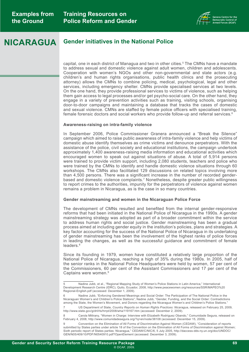

### **NICARAGUA Gender initiatives in the National Police**

capital, one in each district of Managua and two in other cities.5 The CMNs have a mandate to address sexual and domestic violence against adult women, children and adolescents. Cooperation with women's NGOs and other non-governmental and state actors (e.g. children's and human rights organisations, public health clinics and the prosecuting attorney) allows the CMNs to combine policing, medical, psychological, legal and other services, including emergency shelter. CMNs provide specialised services at two levels. On the one hand, they provide professional services to victims of violence, such as helping them gain access to legal processes and/or get psycho-social care. On the other hand, they engage in a variety of prevention activities such as training, visiting schools, organising door-to-door campaigns and maintaining a database that tracks the cases of domestic and sexual violence. CMNs are staffed by female police officers with specialised training, female forensic doctors and social workers who provide follow-up and referral services.<sup>6</sup>

#### **Awareness-raising on intra-family violence**

In September 2006, Police Commissioner Granera announced a "Break the Silence" campaign which aimed to raise public awareness of intra-family violence and help victims of domestic abuse identify themselves as crime victims and denounce perpetrators. With the assistance of the police, civil society and educational institutions, the campaign undertook approximately 1,400 awareness-raising media information and educational activities which encouraged women to speak out against situations of abuse. A total of 5,914 persons were trained to provide victim support, including 2,080 students, teachers and police who were trained by the CMNs to identify and handle domestic violence situations through 60 workshops. The CMNs also facilitated 129 discussions on related topics involving more than 4,500 persons. There was a significant increase in the number of recorded genderbased and domestic violence complaints.7 Nonetheless, despite greater public willingness to report crimes to the authorities, impunity for the perpetrators of violence against women remains a problem in Nicaragua, as is the case in so many countries.

#### **Gender mainstreaming and women in the Nicaraguan Police Force**

The development of CMNs resulted and benefited from the internal gender-responsive reforms that had been initiated in the National Police of Nicaragua in the 1990s. A gender mainstreaming strategy was adopted as part of a broader commitment within the service to address human rights and social justice. Gender mainstreaming has been a gradual process aimed at including gender equity in the institution's policies, plans and strategies. A key factor accounting for the success of the National Police of Nicaragua in its undertaking of gender mainstreaming has been the involvement of the highest ranks of police forces in leading the changes, as well as the successful guidance and commitment of female leaders.<sup>8</sup>

Since its founding in 1979, women have constituted a relatively large proportion of the National Police of Nicaragua, reaching a high of 35% during the 1980s. In 2005, half of the senior ranks in the National Police Headquarters were held by women, 57 per cent of the Commissioners, 60 per cent of the Assistant Commissioners and 17 per cent of the Captains were women.<sup>9</sup>

<sup>5</sup> Nadine Jubb, et al., "Regional Mapping Study of Women's Police Stations in Latin America," International Development Research Centre (IDRC), Quito, Ecuador, 2008, [http://www.peacewomen.org/resources/SSR/MAPEO%20](http://www.peacewomen.org/resources/SSR/MAPEO%20Regional-English.pdf) [Regional-English.pdf](http://www.peacewomen.org/resources/SSR/MAPEO%20Regional-English.pdf) (accessed: December 1, 2009).

<sup>6</sup> Nadine Jubb, "Enforcing Gendered Meanings and Social Order: The Participation of The National Police in the Nicaraguan Women's and Children's Police Stations"; Nadine Jubb, "Gender, Funding, and the Social Order: Contradictions among the State, the Women's Movement, and Donors regarding the Nicaragua Women's and Children's Police Stations."

<sup>7</sup> US Department of State, *Country Reports on Human Rights Practices: Nicaragua*, released on February 25, 2009, http://www.state.gov/g/drl/rls/hrrpt/2008/wha/119167.htm (accessed: December 2, 2009).

<sup>8</sup> Carola Mittrany, "Women in Charge: Interview with Elizabeth Rodriguez Obando," Comunidade Segura, released on February 4, 2008,<http://www.comunidadesegura.org/?q=en/node/38108> (accessed: December 15, 2009).

<sup>9</sup> Convention on the Elimination of All Forms of Discrimination Against Women (CEDAW), "Consideration of reports submitted by States parties under article 18 of the Convention on the Elimination of All Forms of Discrimination against Women; Sixth periodic report of States parties: Nicaragua," CEDAW/C/NIC/6, 5 July 2005, [http://daccess-dds-ny.un.org/doc/UNDOC/](http://daccess-dds-ny.un.org/doc/UNDOC/GEN/N05/409/10/PDF/N0540910.pdf?OpenElement) [GEN/N05/409/10/PDF/N0540910.pdf?OpenElement](http://daccess-dds-ny.un.org/doc/UNDOC/GEN/N05/409/10/PDF/N0540910.pdf?OpenElement) (accessed: December 3, 2009).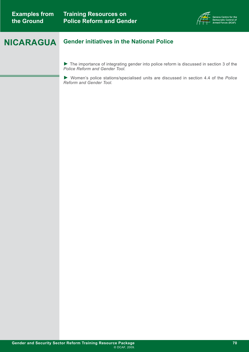

### **NICARAGUA Gender initiatives in the National Police**

► The importance of integrating gender into police reform is discussed in section 3 of the *[Police Reform and Gender Tool.](http://www.dcaf.ch/publications/kms/details.cfm?lng=en&id=47391&nav1=5)*

► Women's police stations/specialised units are discussed in section 4.4 of the *Police Reform and Gender Tool.*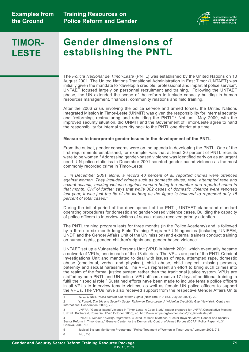**Training Resources on Police Reform and Gender** 



## **TIMOR-LESTE**

# **Gender dimensions of establishing the PNTL**

The *Policia Nacíonal de Timor-Leste* (PNTL) was established by the United Nations on 10 August 2001. The United Nations Transitional Administration in East Timor (UNTAET) was initially given the mandate to "develop a credible, professional and impartial police service". UNTAET focused largely on personnel recruitment and training.1 Following the UNTAET phase, the UN extended the scope of the reform to include capacity building in human resources management, finances, community relations and field training.

After the 2006 crisis involving the police service and armed forces, the United Nations Integrated Mission in Timor-Leste (UNMIT) was given the responsibility for internal security and "reforming, restructuring and rebuilding the PNTL".2 Not until May 2009, with the improved security situation, did UNMIT and the Government of Timor-Leste agree to hand the responsibility for internal security back to the PNTL one district at a time.

#### **Measures to incorporate gender issues in the development of the PNTL**

From the outset, gender concerns were on the agenda in developing the PNTL. One of the first requirements established, for example, was that at least 20 percent of PNTL recruits were to be women.3 Addressing gender-based violence was identified early on as an urgent need. UN police statistics in December 2001 counted gender-based violence as the most commonly recorded crime in Timor-Leste:

*… in December 2001 alone, a record 40 percent of all reported crimes were offences against women. They included crimes such as domestic abuse, rape, attempted rape and sexual assault, making violence against women being the number one reported crime in that month. CivPol further says that while 382 cases of domestic violence were reported*  last year, it was just the tip of the iceberg as the figure is believed to represent only 15 *percent of total cases.4*

During the initial period of the development of the PNTL, UNTAET elaborated standard operating procedures for domestic and gender-based violence cases. Building the capacity of police officers to interview victims of sexual abuse received priority attention.

The PNTL training program lasts for three months (in the Police Academy) and is followed by a three to six month long Field Training Program.<sup>5</sup> UN agencies (including UNIFEM, UNDP and the Gender Affairs Unit of the UN mission) and external trainers conduct training on human rights, gender, children's rights and gender based violence.

UNTAET set up a Vulnerable Persons Unit (VPU) in March 2001, which eventually became a network of VPUs, one in each of the 13 districts. The VPUs are part of the PNTL Criminal Investigations Unit and mandated to deal with issues of rape, attempted rape, domestic abuse (emotional, verbal and physical), child abuse, child neglect, missing persons, paternity and sexual harassment. The VPUs represent an effort to bring such crimes into the realm of the formal justice system rather than the traditional justice system. VPUs are staffed by both PNTL and UN police. VPU officers receive 17 days of additional training to fulfil their special role.<sup>6</sup> Sustained efforts have been made to include female police officers in all VPUs to interview female victims, as well as female UN police officers to support the VPUs. The VPUs have also received support from the respective Gender Affairs Units

6 Ibid., 7-8.

<sup>1</sup> W. G. O'Neill, *Police Reform and Human Rights* (New York: HURIST, July 20, 2004), 20.

<sup>2</sup> Y. Funaki, *The UN and Security Sector Reform in Timor-Leste: A Widening Credibility Gap* (New York: Centre on International Cooperation, 2009), 7-8.

<sup>3</sup> UNFPA, "Gender-based Violence in Timor-Leste. A Case Study" (paper prepared for UNFPA Consultative Meeting, UNFPA: Bucharest, Romania, 17-20 October, 2005), 45, [http://www.unfpa.org/women/docs/gbv\\_timorleste.pdf.](http://www.unfpa.org/women/docs/gbv_timorleste.pdf)

<sup>4</sup> UNTAET, *Gender Equality Programme*, 3, cited in: Henri Myrttinen, "Poster Boys No More: Gender and Security Sector Reform in Timor-Leste," Geneva Center for the Democratic Control of Armed Forces (DCAF) Policy Paper No.31: Geneva, 2009, 19.

<sup>5</sup> Judicial System Monitoring Programme, "Police Treatment of Women in Timor-Leste," January 2005, 7-8.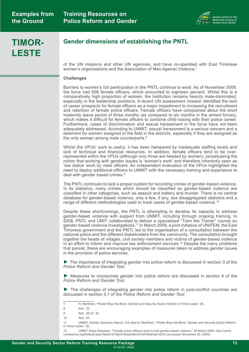

## **TIMOR-LESTE**

### **Gender dimensions of establishing the PNTL**

of the UN missions and other UN agencies, and have co-operated with East Timorese women's organisations and the Association of Men Against Violence.<sup>7</sup>

#### **Challenges**

Barriers to women's full participation in the PNTL continue to exist. As of November 2009, the force had 608 female officers, which amounted to eighteen percent. Whilst this is a comparatively high proportion of women, the institution remains heavily male-dominated, especially in the leadership positions. A recent UN assessment mission identified the lack of career prospects for female officers as a major impediment to increasing the recruitment and retention of female police officers. Female officers have complained about the short maternity leave period of three months (as compared to six months in the armed forces), which makes it difficult for female officers to combine child-raising with their police career. Furthermore, cases of discrimination and sexual harassment in the force have not been adequately addressed. According to UNMIT, sexual harassment is a serious concern and a deterrent for women assigned to the field in the districts, especially if they are assigned as the only woman among male counterparts.<sup>8</sup>

Whilst the VPUs' work is useful, it has been hampered by inadequate staffing levels and lack of technical and financial resources. In addition, female officers tend to be overrepresented within the VPUs (although only three are headed by women), perpetuating the notion that working with gender issues is 'women's work' and therefore inherently seen as 'low status' work by male officers. An independent evaluation of the VPUs highlighted the need to deploy additional officers to UNMIT with the necessary training and experience to deal with gender based crimes.<sup>9</sup>

The PNTL continues to lack a proper system for recording crimes of gender-based violence. In its statistics, many crimes which should be classified as gender-based violence are classified in other categories, such as assault and battery and murder. There is no central database for gender-based violence, only a few, if any, sex disaggregated statistics and a range of different methodologies used to track cases of gender-based violence.10

Despite these shortcomings, the PNTL is attempting to develop its capacity to address gender-based violence with support from UNMIT, including through ongoing training. In 2008, PNTL and UMIT collaborated to deliver a specialised "Train the Trainer" course on gender-based violence investigations.<sup>11</sup> In March 2009, a joint initiative of UNIFEM, the East Timorese government and the PNTL led to the organisation of a consultation between the national police and the different stakeholders from the community. The consultation brought together the heads of villages, civil society members and victims of gender-based violence in an effort to inform and improve law enforcement services.<sup>12</sup> Despite the many problems that persist, these are encouraging examples of measures taken to address gender issues in the provision of police services.

► The importance of integrating gender into police reform is discussed in section 3 of the *[Police Reform and Gender Tool.](http://www.dcaf.ch/publications/kms/details.cfm?lng=en&id=47391&nav1=5)*

► Measures to incorporate gender into police reform are discussed in section 4 of the *[Police Reform and Gender Tool.](http://www.dcaf.ch/publications/kms/details.cfm?lng=en&id=47391&nav1=5)*

► The challenges of integrating gender into police reform in post-conflict countries are discussed in section 5.1 of the *[Police Reform and Gender Tool.](http://www.dcaf.ch/publications/kms/details.cfm?lng=en&id=47391&nav1=5)*

<sup>7</sup> H. Myrttinen, "Poster Boys No More: Gender and Security Sector Reform in Timor-Leste," 26.

<sup>8</sup> Ibid., 32.

<sup>9</sup> Ibid., 26-27, 32.

<sup>10</sup> Ibid., 20.

<sup>11</sup> UNMIT, *Gender Quarterly Report*, 5-8 cited in: Myrttinen, "Poster Boys No More: Gender and Security Sector Reform in Timor-Leste," 32.

<sup>12</sup> UNMIT Press Releases, "Female police officers work to end gender-based violence," 20 March 2009, [http://unmit.](http://unmit.unmissions.org/Default.aspx?tabid=214&ctl=Details&mid=627&Itemid=3230) [unmissions.org/Default.aspx?tabid=214&ctl=Details&mid=627&Itemid=3230](http://unmit.unmissions.org/Default.aspx?tabid=214&ctl=Details&mid=627&Itemid=3230) (accessed: November 25, 2009).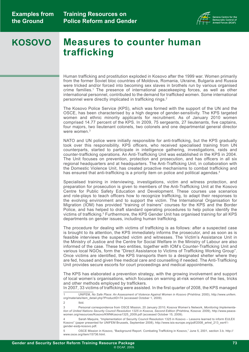

### **Measures to counter human trafficking KOSOVO**

Human trafficking and prostitution exploded in Kosovo after the 1999 war. Women primarily from the former Soviet bloc countries of Moldova, Romania, Ukraine, Bulgaria and Russia were tricked and/or forced into becoming sex slaves in brothels run by various organised crime families.1 The presence of international peacekeeping forces, as well as other international personnel, contributed to the demand for trafficked women. Some international personnel were directly implicated in trafficking rings.<sup>2</sup>

The Kosovo Police Service (KPS), which was formed with the support of the UN and the OSCE, has been characterised by a high degree of gender-sensitivity. The KPS targeted women and ethnic minority applicants for recruitment. As of January 2010 women comprised 14.77 percent of the KPS. In 2009, 75 sergeants, 27 lieutenants, five captains, four majors, two lieutenant colonels, two colonels and one departmental general director were women.<sup>3</sup>

NATO and UN police were initially responsible for anti-trafficking, but the KPS gradually took over this responsibility. KPS officers, who received specialised training from UN counterparts, started to participate in intelligence gathering, investigations, raids and counter-trafficking operations. An Anti-Trafficking Unit was established in the KPS in 2004. The Unit focuses on prevention, protection and prosecution, and has officers in all six regional headquarters and at headquarters. The Anti-Trafficking Unit, in collaboration with the Domestic Violence Unit, has created proactive mechanisms to combat trafficking and has ensured that anti-trafficking is a priority item on police and political agendas.<sup>4</sup>

Specialised training in interviewing, investigations, victim and witness protection, and preparation for prosecution is given to members of the Anti-Trafficking Unit at the Kosovo Centre for Public Safety Education and Development. These courses use scenarios and role-plays to teach officers how to recognize trafficking, to adapt their responses to the evolving environment and to support the victim. The International Organisation for Migration (IOM) has provided "training of trainers" courses for the KPS and the Border Police, and has helped to draft standard operating procedures to help police identify the victims of trafficking.5 Furthermore, the KPS Gender Unit has organised training for all KPS departments on gender issues, including human trafficking.

The procedure for dealing with victims of trafficking is as follows: after a suspected case is brought to its attention, the KPS immediately informs the prosecutor, and as soon as is feasible interviews the suspected victim and witnesses. The Victim's Assistance Unit in the Ministry of Justice and the Centre for Social Welfare in the Ministry of Labour are also informed of the case. These two entities, together with IOM's Counter-Trafficking Unit and various local NGOs, form the "Direct Assistance to Victims of Trafficking Working Group". Once victims are identified, the KPS transports them to a designated shelter where they are fed, housed and given free medical care and counselling if needed. The Anti-Trafficking Unit provides secure escorts for court proceedings and medical appointments.

The KPS has elaborated a prevention strategy, with the growing involvement and support of local women's organisations, which focuses on warning at-risk women of the lies, tricks and other methods employed by traffickers.

In 2007, 33 victims of trafficking were assisted. In the first quarter of 2008, the KPS managed

2 Ibid.

3 Personal correspondence from OSCE Mission, 20 January 2010; Kosova Women's Network, *Monitoring Implementation of United Nations Security Council Resolution 1325 in Kosova, Second Edition* (Prishtina, Kosova: 2009), [http://www.peace](http://www.peacewomen.org/resources/Kosovo/KWNKosova1325_2009.pdf)[women.org/resources/Kosovo/KWNKosova1325\\_2009.pdf](http://www.peacewomen.org/resources/Kosovo/KWNKosova1325_2009.pdf) (accessed October 15, 2009).

Sarah Maquire, "Implementation of Security Council Resolution 1325 in Kosovo – Lessons learned to inform EULEX Kosovo" (paper presented for UNIFEM Brussels, September 2008), [http://www.isis-europe.org/pdf/2008\\_artrel\\_213\\_esr41](http://www.isis-europe.org/pdf/2008_artrel_213_esr41-gender-esdp-kosovo.pdf) [gender-esdp-kosovo.pdf](http://www.isis-europe.org/pdf/2008_artrel_213_esr41-gender-esdp-kosovo.pdf).

5 OSCE Mission in Kosovo, "Background Report. Combating Trafficking in Kosovo," June 5, 2001, section 3.b. [http://](http://www.osce.org/item/15736.html) [www.osce.org/item/15736.html.](http://www.osce.org/item/15736.html)

<sup>1</sup> UNIFEM, *No Safe Place: An Assessment of Violence Against Women in Kosovo* (Prishtina: 2000)[, http://www.unifem.](http://www.unifem.org/materials/item_detail.php?ProductID=74) [org/materials/item\\_detail.php?ProductID=74](http://www.unifem.org/materials/item_detail.php?ProductID=74) (accessed October 1, 2009).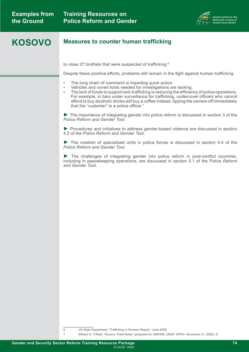

### **KOSOVO Measures to counter human trafficking**

to close 27 brothels that were suspected of trafficking. $^{\circ}$ 

Despite these positive efforts, problems still remain in the fight against human trafficking:

- The long chain of command is impeding quick action.
- Vehicles and covert tools needed for investigations are lacking.
- The lack of funds to support anti-trafficking is reducing the efficiency of police operations. For example, in bars under surveillance for trafficking, undercover officers who cannot afford to buy alcoholic drinks will buy a coffee instead, tipping the owners off immediately that the "customer" is a police officer.<sup>7</sup>

► The importance of integrating gender into police reform is discussed in section 3 of the *[Police Reform and Gender Tool.](http://www.dcaf.ch/publications/kms/details.cfm?lng=en&id=47391&nav1=5)*

► Procedures and initiatives to address gender-based violence are discussed in section 4.3 of the *[Police Reform and Gender Tool.](http://www.dcaf.ch/publications/kms/details.cfm?lng=en&id=47391&nav1=5)*

► The creation of specialised units in police forces is discussed in section 4.4 of the *[Police Reform and Gender Tool.](http://www.dcaf.ch/publications/kms/details.cfm?lng=en&id=47391&nav1=5)*

► The challenges of integrating gender into police reform in post-conflict countries, including in peacekeeping operations, are discussed in section 5.1 of the *[Police Reform](http://www.dcaf.ch/publications/kms/details.cfm?lng=en&id=47391&nav1=5)  [and Gender Tool.](http://www.dcaf.ch/publications/kms/details.cfm?lng=en&id=47391&nav1=5)*

6 US State Department, "Trafficking in Persons Report," June 2008.

7 William G. O'Neill, "Kosovo. Field Notes" (prepared for UNIFEM, UNDP, DPKO, November 21, 2006), 8.